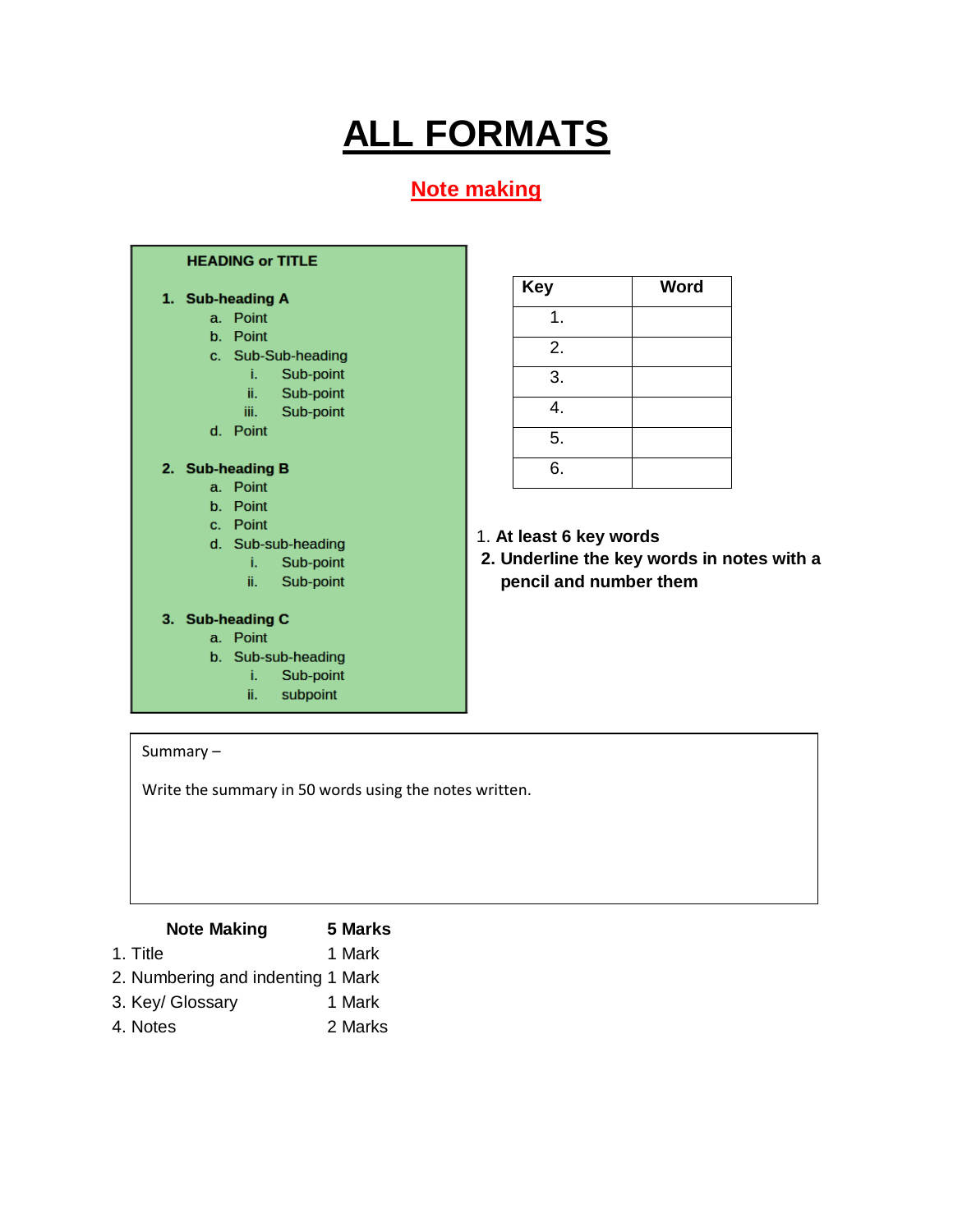# **ALL FORMATS**

### **Note making**

#### **HEADING or TITLE**

#### 1. Sub-heading A

- a. Point
- b. Point
- c. Sub-Sub-heading
	- i. Sub-point
	- $\ddot{\mathbf{H}}$ , Sub-point
	- iii. Sub-point
- d. Point

#### 2. Sub-heading B

- a. Point
- b. Point
- c. Point
- d. Sub-sub-heading
	- Sub-point  $\mathbf{i}$ .
	- ii. Sub-point

#### 3. Sub-heading C

#### a. Point

- b. Sub-sub-heading
	- i. Sub-point
	- ii. subpoint

### **Key Word** 1. 2. 3. 4. 5. 6.

- **1.** 1. **At least 6 key words**
- **2. 2. Underline the key words in notes with a pencil and number them**

#### Summary –

Write the summary in 50 words using the notes written.

| <b>Note Making</b>                | 5 Marks |
|-----------------------------------|---------|
| 1. Title                          | 1 Mark  |
| 2. Numbering and indenting 1 Mark |         |
| 3. Key/ Glossary                  | 1 Mark  |
| 4. Notes                          | 2 Marks |
|                                   |         |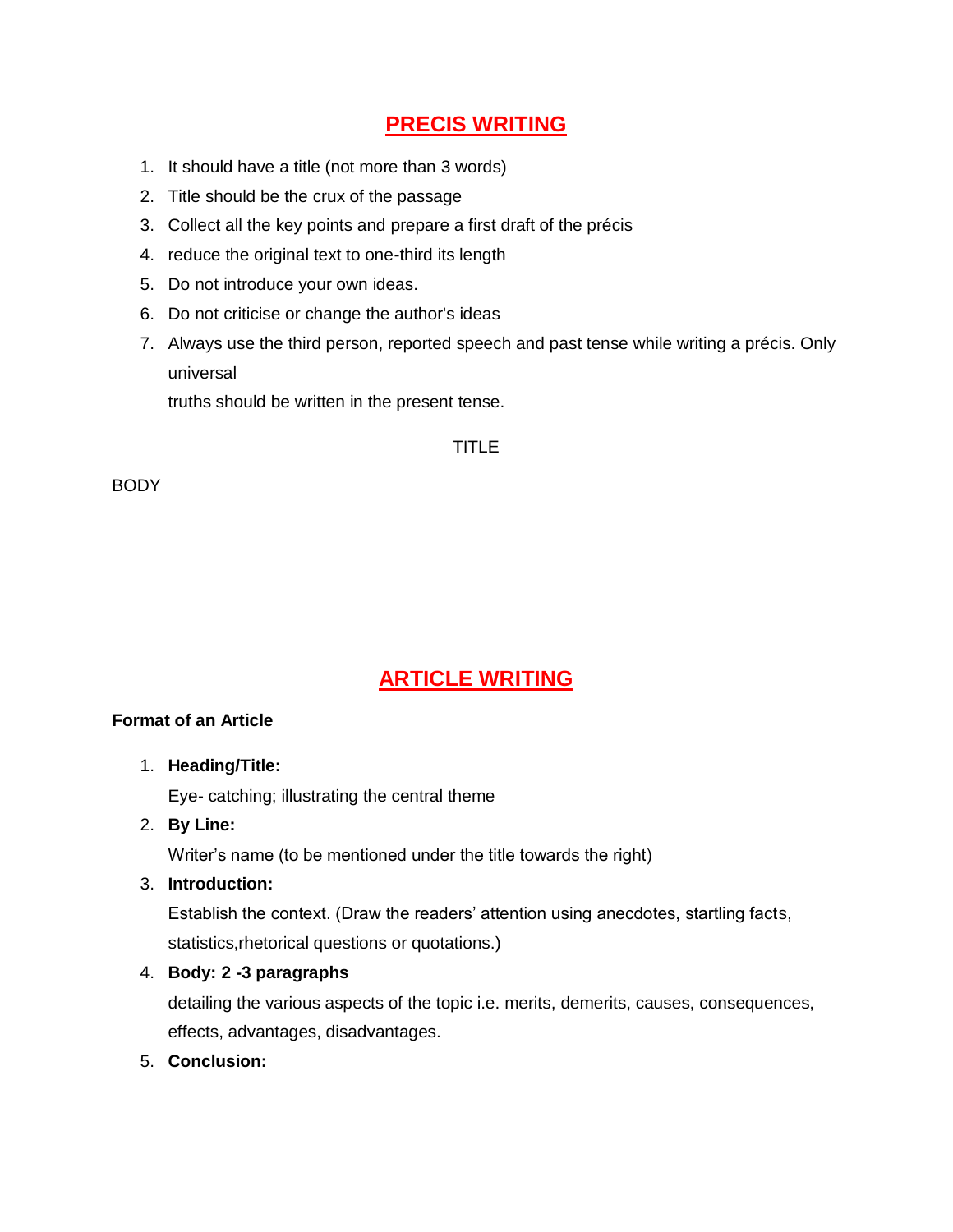### **PRECIS WRITING**

- 1. It should have a title (not more than 3 words)
- 2. Title should be the crux of the passage
- 3. Collect all the key points and prepare a first draft of the précis
- 4. reduce the original text to one-third its length
- 5. Do not introduce your own ideas.
- 6. Do not criticise or change the author's ideas
- 7. Always use the third person, reported speech and past tense while writing a précis. Only universal

truths should be written in the present tense.

#### TITLE

**BODY** 

### **ARTICLE WRITING**

#### **Format of an Article**

1. **Heading/Title:**

Eye- catching; illustrating the central theme

2. **By Line:**

Writer's name (to be mentioned under the title towards the right)

3. **Introduction:**

Establish the context. (Draw the readers' attention using anecdotes, startling facts, statistics,rhetorical questions or quotations.)

4. **Body: 2 -3 paragraphs**

detailing the various aspects of the topic i.e. merits, demerits, causes, consequences, effects, advantages, disadvantages.

5. **Conclusion:**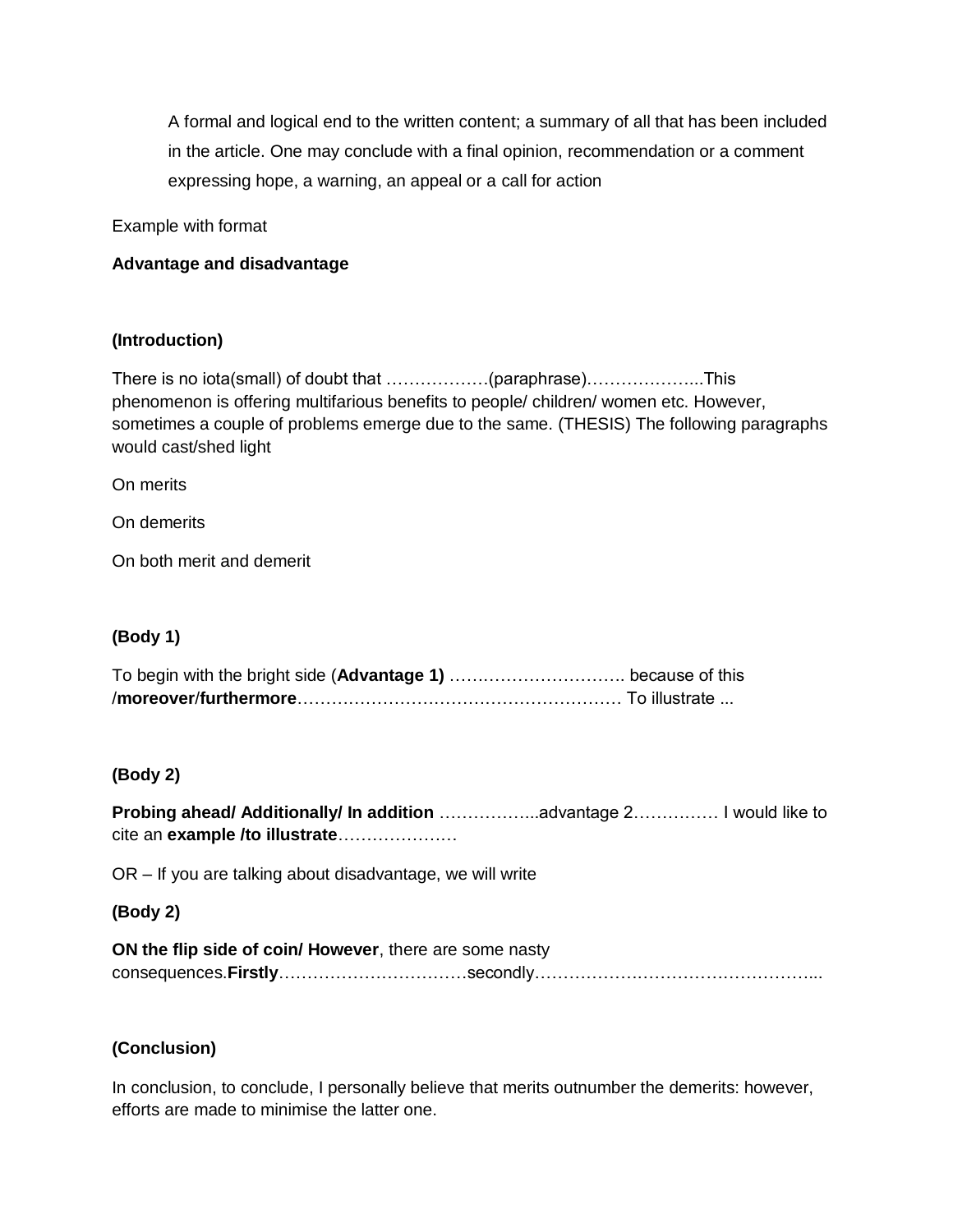A formal and logical end to the written content; a summary of all that has been included in the article. One may conclude with a final opinion, recommendation or a comment expressing hope, a warning, an appeal or a call for action

Example with format

#### **Advantage and disadvantage**

#### **(Introduction)**

There is no iota(small) of doubt that ………………(paraphrase)………………...This phenomenon is offering multifarious benefits to people/ children/ women etc. However, sometimes a couple of problems emerge due to the same. (THESIS) The following paragraphs would cast/shed light

On merits

On demerits

On both merit and demerit

#### **(Body 1)**

#### **(Body 2)**

**Probing ahead/ Additionally/ In addition** ……………...advantage 2…………… I would like to cite an **example /to illustrate**…………………

OR – If you are talking about disadvantage, we will write

#### **(Body 2)**

**ON the flip side of coin/ However**, there are some nasty consequences.**Firstly**……………………………secondly…………………………………………...

#### **(Conclusion)**

In conclusion, to conclude, I personally believe that merits outnumber the demerits: however, efforts are made to minimise the latter one.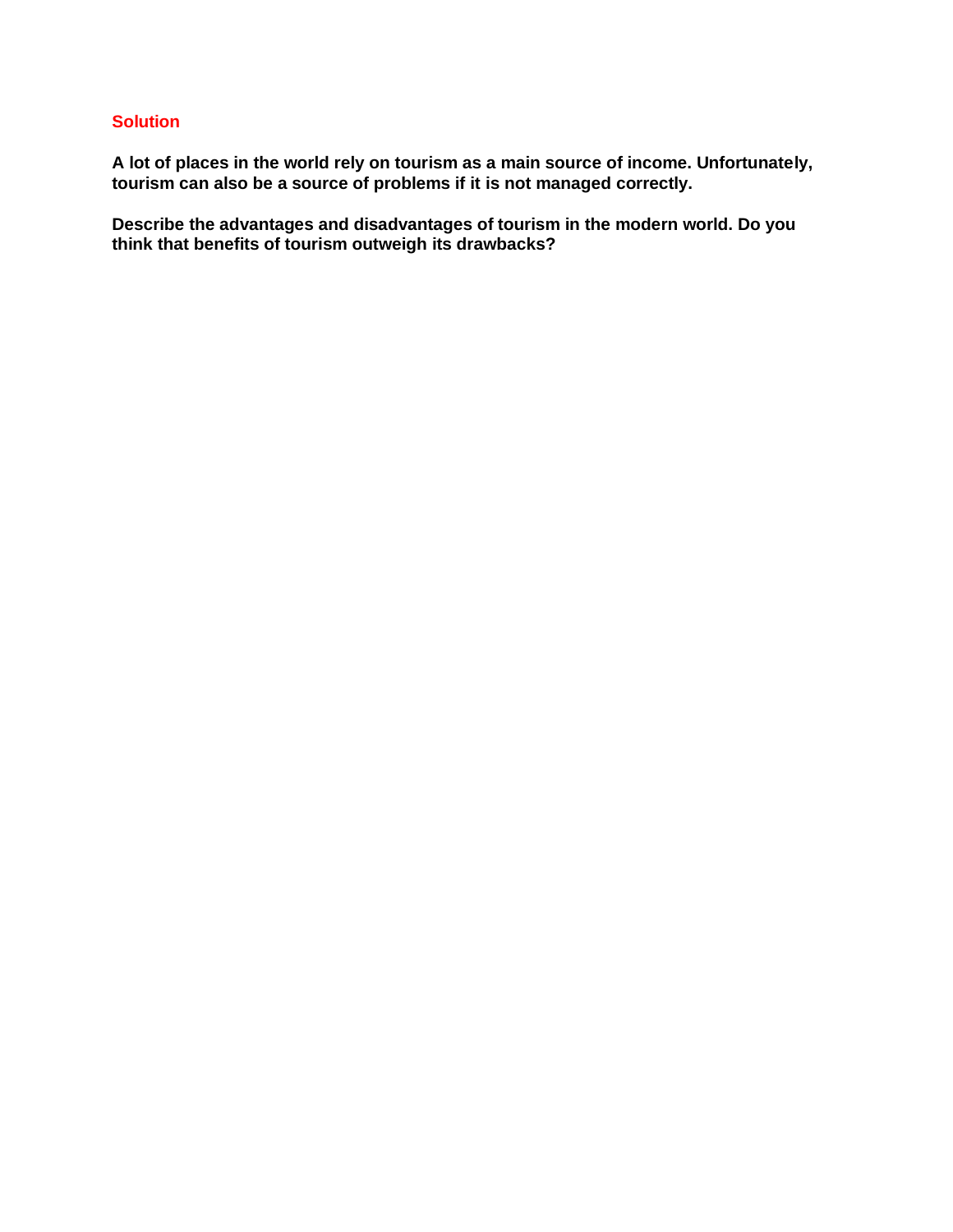#### **Solution**

**A lot of places in the world rely on tourism as a main source of income. Unfortunately, tourism can also be a source of problems if it is not managed correctly.**

**Describe the advantages and disadvantages of tourism in the modern world. Do you think that benefits of tourism outweigh its drawbacks?**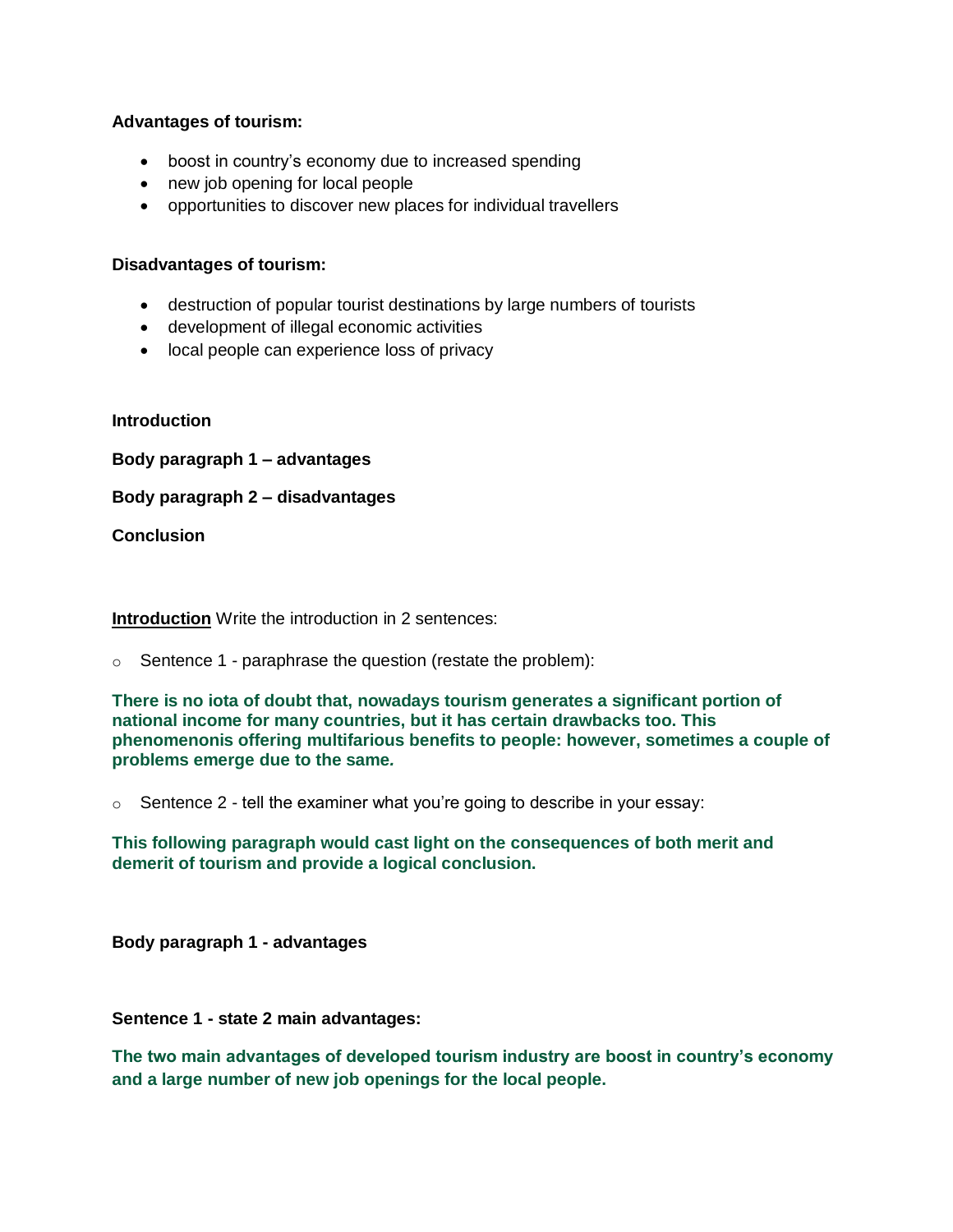#### **Advantages of tourism:**

- boost in country's economy due to increased spending
- new job opening for local people
- opportunities to discover new places for individual travellers

#### **Disadvantages of tourism:**

- destruction of popular tourist destinations by large numbers of tourists
- development of illegal economic activities
- local people can experience loss of privacy

#### **Introduction**

**Body paragraph 1 – advantages**

**Body paragraph 2 – disadvantages**

#### **Conclusion**

**Introduction** Write the introduction in 2 sentences:

 $\circ$  Sentence 1 - paraphrase the question (restate the problem):

**There is no iota of doubt that, nowadays tourism generates a significant portion of national income for many countries, but it has certain drawbacks too. This phenomenonis offering multifarious benefits to people: however, sometimes a couple of problems emerge due to the same***.*

 $\circ$  Sentence 2 - tell the examiner what you're going to describe in your essay:

**This following paragraph would cast light on the consequences of both merit and demerit of tourism and provide a logical conclusion.**

**Body paragraph 1 - advantages**

**Sentence 1 - state 2 main advantages:**

**The two main advantages of developed tourism industry are boost in country's economy and a large number of new job openings for the local people.**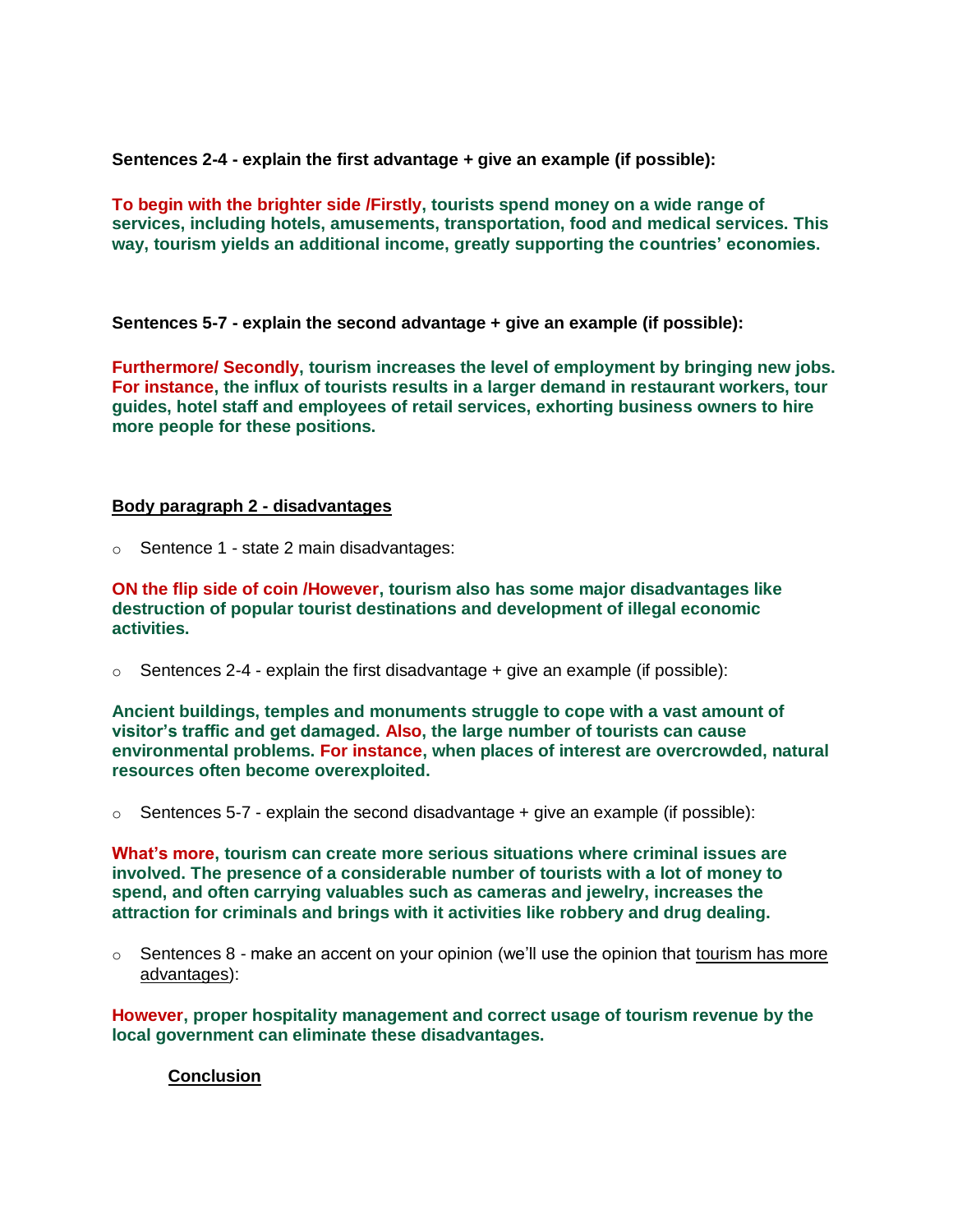**Sentences 2-4 - explain the first advantage + give an example (if possible):**

**To begin with the brighter side /Firstly, tourists spend money on a wide range of services, including hotels, amusements, transportation, food and medical services. This way, tourism yields an additional income, greatly supporting the countries' economies.**

**Sentences 5-7 - explain the second advantage + give an example (if possible):**

**Furthermore/ Secondly, tourism increases the level of employment by bringing new jobs. For instance, the influx of tourists results in a larger demand in restaurant workers, tour guides, hotel staff and employees of retail services, exhorting business owners to hire more people for these positions.**

#### **Body paragraph 2 - disadvantages**

o Sentence 1 - state 2 main disadvantages:

**ON the flip side of coin /However, tourism also has some major disadvantages like destruction of popular tourist destinations and development of illegal economic activities.**

 $\circ$  Sentences 2-4 - explain the first disadvantage + give an example (if possible):

**Ancient buildings, temples and monuments struggle to cope with a vast amount of visitor's traffic and get damaged. Also, the large number of tourists can cause environmental problems. For instance, when places of interest are overcrowded, natural resources often become overexploited.**

 $\circ$  Sentences 5-7 - explain the second disadvantage + give an example (if possible):

**What's more, tourism can create more serious situations where criminal issues are involved. The presence of a considerable number of tourists with a lot of money to spend, and often carrying valuables such as cameras and jewelry, increases the attraction for criminals and brings with it activities like robbery and drug dealing.**

 $\circ$  Sentences 8 - make an accent on your opinion (we'll use the opinion that tourism has more advantages):

**However, proper hospitality management and correct usage of tourism revenue by the local government can eliminate these disadvantages.**

#### **Conclusion**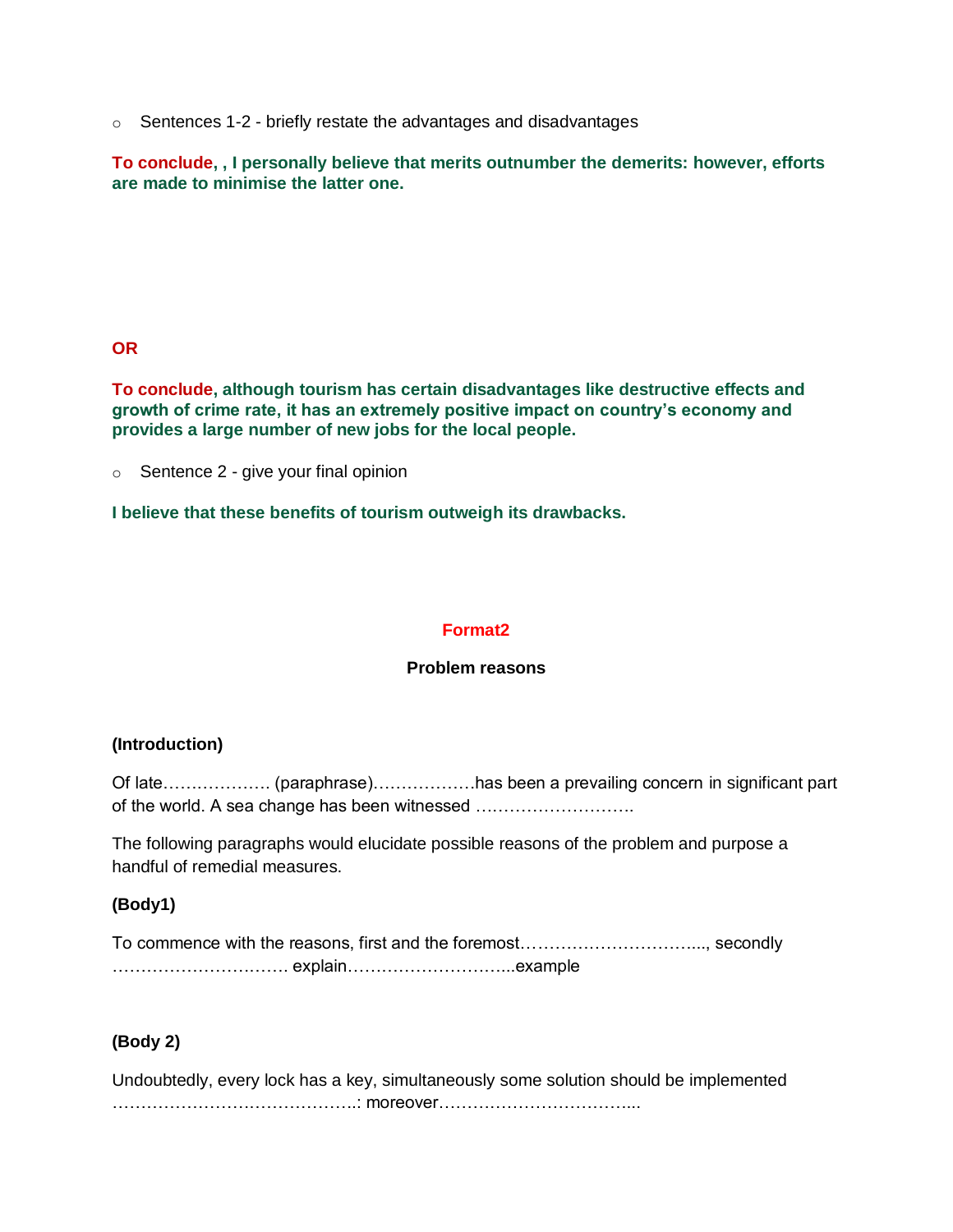o Sentences 1-2 - briefly restate the advantages and disadvantages

**To conclude, , I personally believe that merits outnumber the demerits: however, efforts are made to minimise the latter one.**

#### **OR**

**To conclude, although tourism has certain disadvantages like destructive effects and growth of crime rate, it has an extremely positive impact on country's economy and provides a large number of new jobs for the local people.**

 $\circ$  Sentence 2 - give your final opinion

**I believe that these benefits of tourism outweigh its drawbacks.**

#### **Format2**

#### **Problem reasons**

#### **(Introduction)**

Of late………………. (paraphrase)………………has been a prevailing concern in significant part of the world. A sea change has been witnessed ……………………….

The following paragraphs would elucidate possible reasons of the problem and purpose a handful of remedial measures.

#### **(Body1)**

| To commence with the reasons, first and the foremost, secondly |  |
|----------------------------------------------------------------|--|
|                                                                |  |

#### **(Body 2)**

Undoubtedly, every lock has a key, simultaneously some solution should be implemented …………………………………….: moreover……………………………...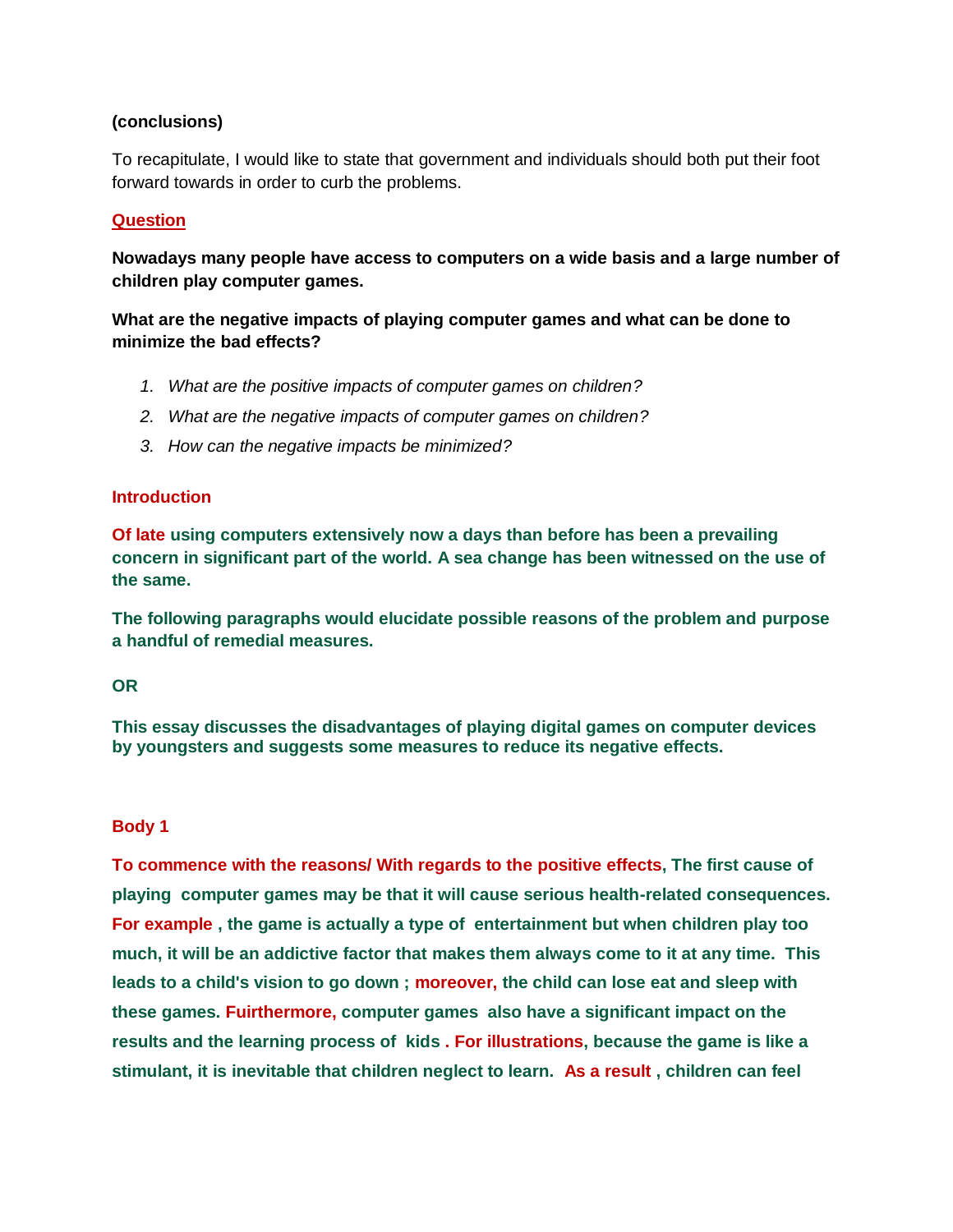#### **(conclusions)**

To recapitulate, I would like to state that government and individuals should both put their foot forward towards in order to curb the problems.

#### **Question**

**Nowadays many people have access to computers on a wide basis and a large number of children play computer games.**

**What are the negative impacts of playing computer games and what can be done to minimize the bad effects?**

- *1. What are the positive impacts of computer games on children?*
- *2. What are the negative impacts of computer games on children?*
- *3. How can the negative impacts be minimized?*

#### **Introduction**

**Of late using computers extensively now a days than before has been a prevailing concern in significant part of the world. A sea change has been witnessed on the use of the same.**

**The following paragraphs would elucidate possible reasons of the problem and purpose a handful of remedial measures.**

#### **OR**

**This essay discusses the disadvantages of playing digital games on computer devices by youngsters and suggests some measures to reduce its negative effects.**

#### **Body 1**

**To commence with the reasons/ With regards to the positive effects, The first cause of playing computer games may be that it will cause serious health-related consequences. For example , the game is actually a type of entertainment but when children play too much, it will be an addictive factor that makes them always come to it at any time. This leads to a child's vision to go down ; moreover, the child can lose eat and sleep with these games. Fuirthermore, computer games also have a significant impact on the results and the learning process of kids . For illustrations, because the game is like a stimulant, it is inevitable that children neglect to learn. As a result , children can feel**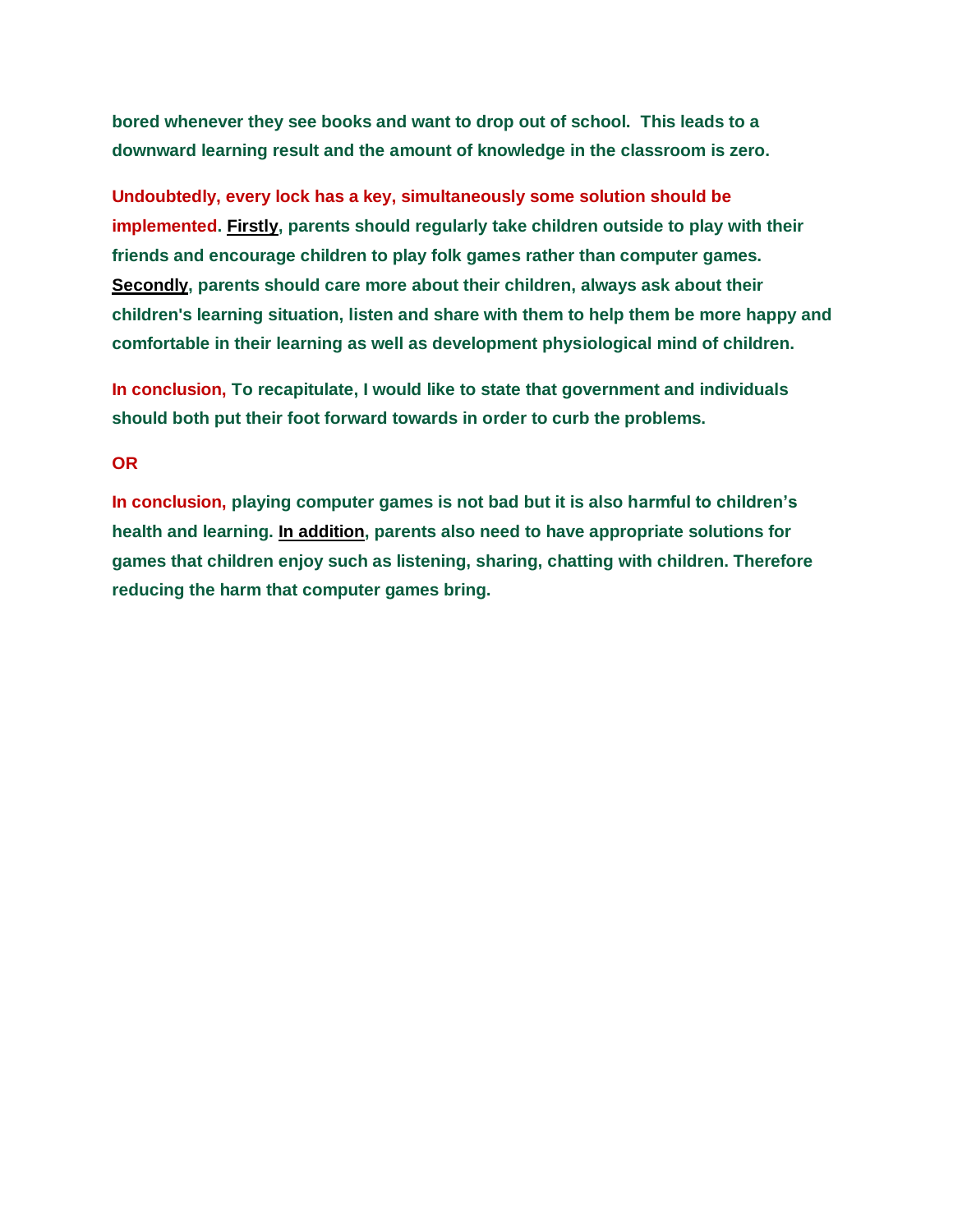**bored whenever they see books and want to drop out of school. This leads to a downward learning result and the amount of knowledge in the classroom is zero.**

**Undoubtedly, every lock has a key, simultaneously some solution should be implemented. Firstly, parents should regularly take children outside to play with their friends and encourage children to play folk games rather than computer games. Secondly, parents should care more about their children, always ask about their children's learning situation, listen and share with them to help them be more happy and comfortable in their learning as well as development physiological mind of children.**

**In conclusion, To recapitulate, I would like to state that government and individuals should both put their foot forward towards in order to curb the problems.**

#### **OR**

**In conclusion, playing computer games is not bad but it is also harmful to children's health and learning. In addition, parents also need to have appropriate solutions for games that children enjoy such as listening, sharing, chatting with children. Therefore reducing the harm that computer games bring.**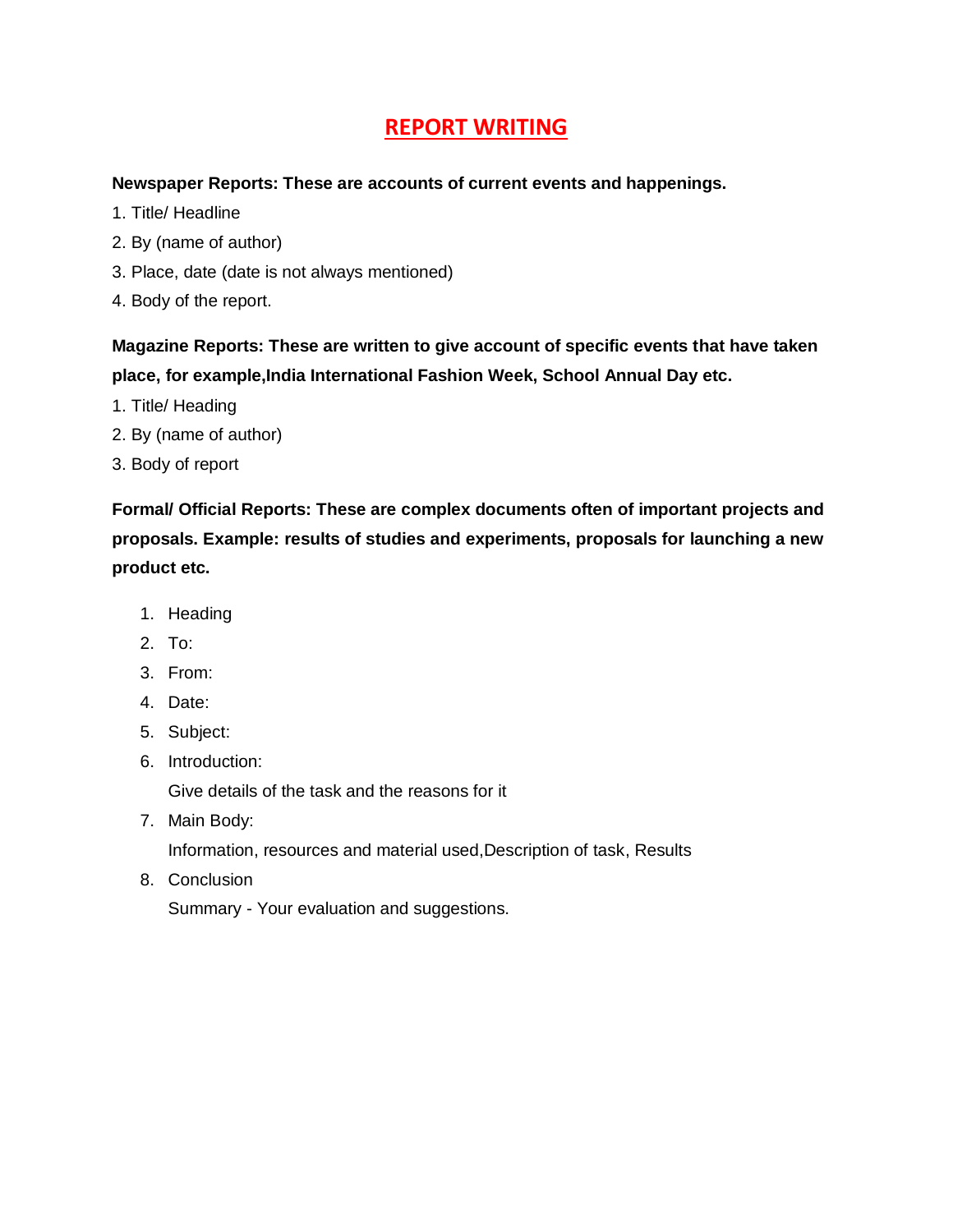### **REPORT WRITING**

#### **Newspaper Reports: These are accounts of current events and happenings.**

- 1. Title/ Headline
- 2. By (name of author)
- 3. Place, date (date is not always mentioned)
- 4. Body of the report.

**Magazine Reports: These are written to give account of specific events that have taken place, for example,India International Fashion Week, School Annual Day etc.**

- 1. Title/ Heading
- 2. By (name of author)
- 3. Body of report

**Formal/ Official Reports: These are complex documents often of important projects and proposals. Example: results of studies and experiments, proposals for launching a new product etc.**

- 1. Heading
- 2. To:
- 3. From:
- 4. Date:
- 5. Subject:
- 6. Introduction:

Give details of the task and the reasons for it

7. Main Body:

Information, resources and material used,Description of task, Results

8. Conclusion

Summary - Your evaluation and suggestions.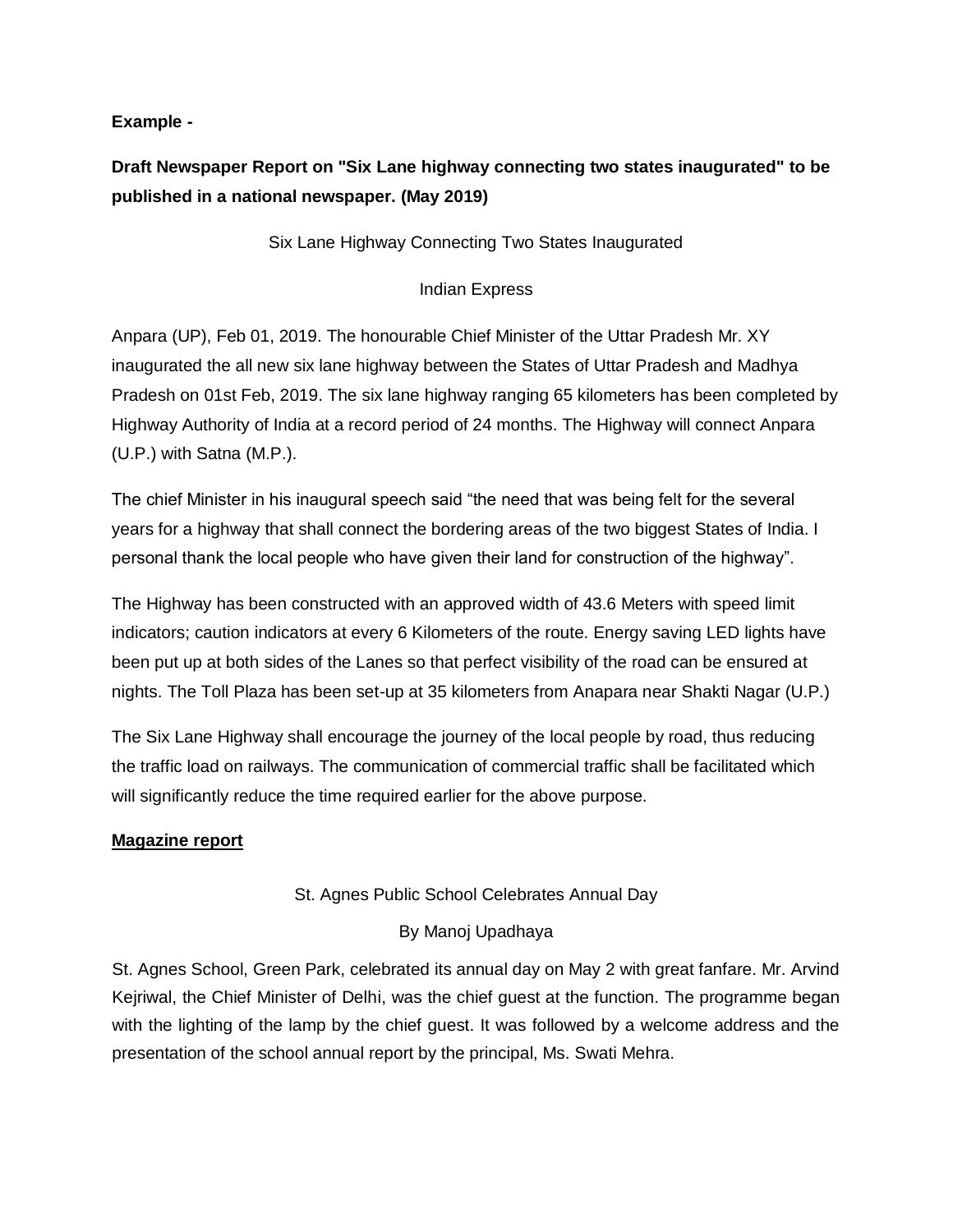#### **Example -**

### **Draft Newspaper Report on "Six Lane highway connecting two states inaugurated" to be published in a national newspaper. (May 2019)**

Six Lane Highway Connecting Two States Inaugurated

#### Indian Express

Anpara (UP), Feb 01, 2019. The honourable Chief Minister of the Uttar Pradesh Mr. XY inaugurated the all new six lane highway between the States of Uttar Pradesh and Madhya Pradesh on 01st Feb, 2019. The six lane highway ranging 65 kilometers has been completed by Highway Authority of India at a record period of 24 months. The Highway will connect Anpara (U.P.) with Satna (M.P.).

The chief Minister in his inaugural speech said "the need that was being felt for the several years for a highway that shall connect the bordering areas of the two biggest States of India. I personal thank the local people who have given their land for construction of the highway".

The Highway has been constructed with an approved width of 43.6 Meters with speed limit indicators; caution indicators at every 6 Kilometers of the route. Energy saving LED lights have been put up at both sides of the Lanes so that perfect visibility of the road can be ensured at nights. The Toll Plaza has been set-up at 35 kilometers from Anapara near Shakti Nagar (U.P.)

The Six Lane Highway shall encourage the journey of the local people by road, thus reducing the traffic load on railways. The communication of commercial traffic shall be facilitated which will significantly reduce the time required earlier for the above purpose.

#### **Magazine report**

#### St. Agnes Public School Celebrates Annual Day

#### By Manoj Upadhaya

St. Agnes School, Green Park, celebrated its annual day on May 2 with great fanfare. Mr. Arvind Kejriwal, the Chief Minister of Delhi, was the chief guest at the function. The programme began with the lighting of the lamp by the chief guest. It was followed by a welcome address and the presentation of the school annual report by the principal, Ms. Swati Mehra.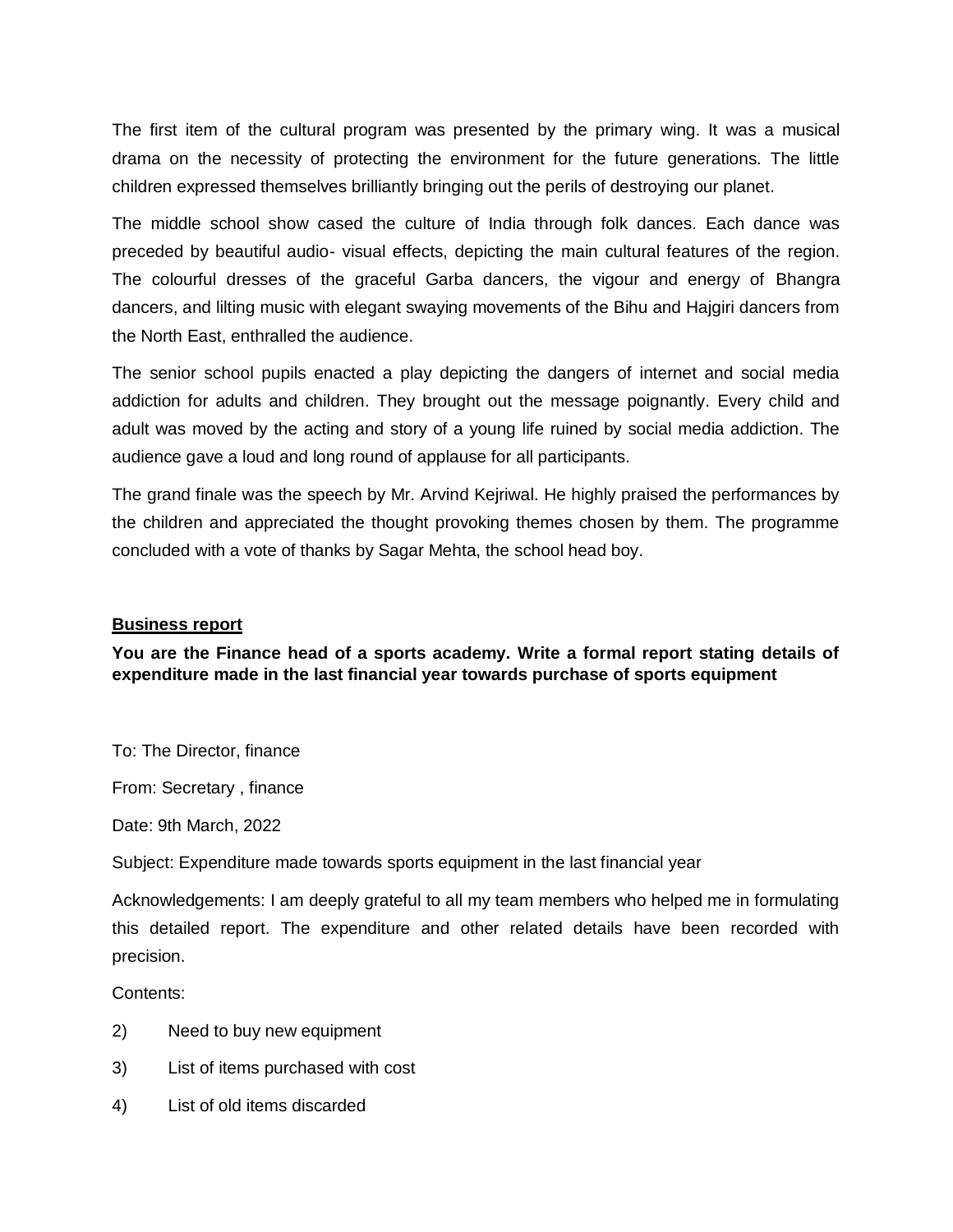The first item of the cultural program was presented by the primary wing. It was a musical drama on the necessity of protecting the environment for the future generations. The little children expressed themselves brilliantly bringing out the perils of destroying our planet.

The middle school show cased the culture of India through folk dances. Each dance was preceded by beautiful audio- visual effects, depicting the main cultural features of the region. The colourful dresses of the graceful Garba dancers, the vigour and energy of Bhangra dancers, and lilting music with elegant swaying movements of the Bihu and Hajgiri dancers from the North East, enthralled the audience.

The senior school pupils enacted a play depicting the dangers of internet and social media addiction for adults and children. They brought out the message poignantly. Every child and adult was moved by the acting and story of a young life ruined by social media addiction. The audience gave a loud and long round of applause for all participants.

The grand finale was the speech by Mr. Arvind Kejriwal. He highly praised the performances by the children and appreciated the thought provoking themes chosen by them. The programme concluded with a vote of thanks by Sagar Mehta, the school head boy.

#### **Business report**

**You are the Finance head of a sports academy. Write a formal report stating details of expenditure made in the last financial year towards purchase of sports equipment**

To: The Director, finance

From: Secretary , finance

Date: 9th March, 2022

Subject: Expenditure made towards sports equipment in the last financial year

Acknowledgements: I am deeply grateful to all my team members who helped me in formulating this detailed report. The expenditure and other related details have been recorded with precision.

Contents:

- 2) Need to buy new equipment
- 3) List of items purchased with cost
- 4) List of old items discarded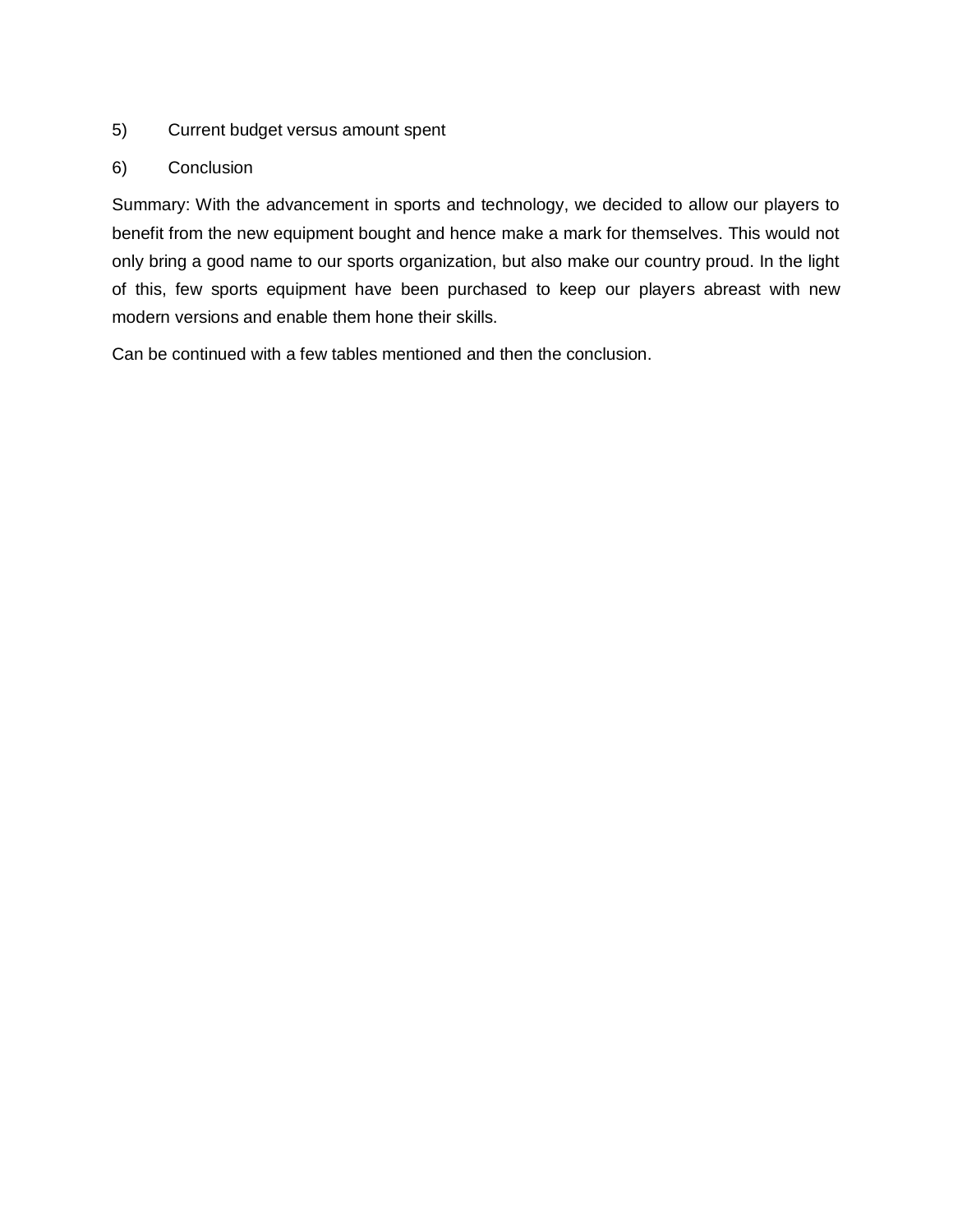#### 5) Current budget versus amount spent

#### 6) Conclusion

Summary: With the advancement in sports and technology, we decided to allow our players to benefit from the new equipment bought and hence make a mark for themselves. This would not only bring a good name to our sports organization, but also make our country proud. In the light of this, few sports equipment have been purchased to keep our players abreast with new modern versions and enable them hone their skills.

Can be continued with a few tables mentioned and then the conclusion.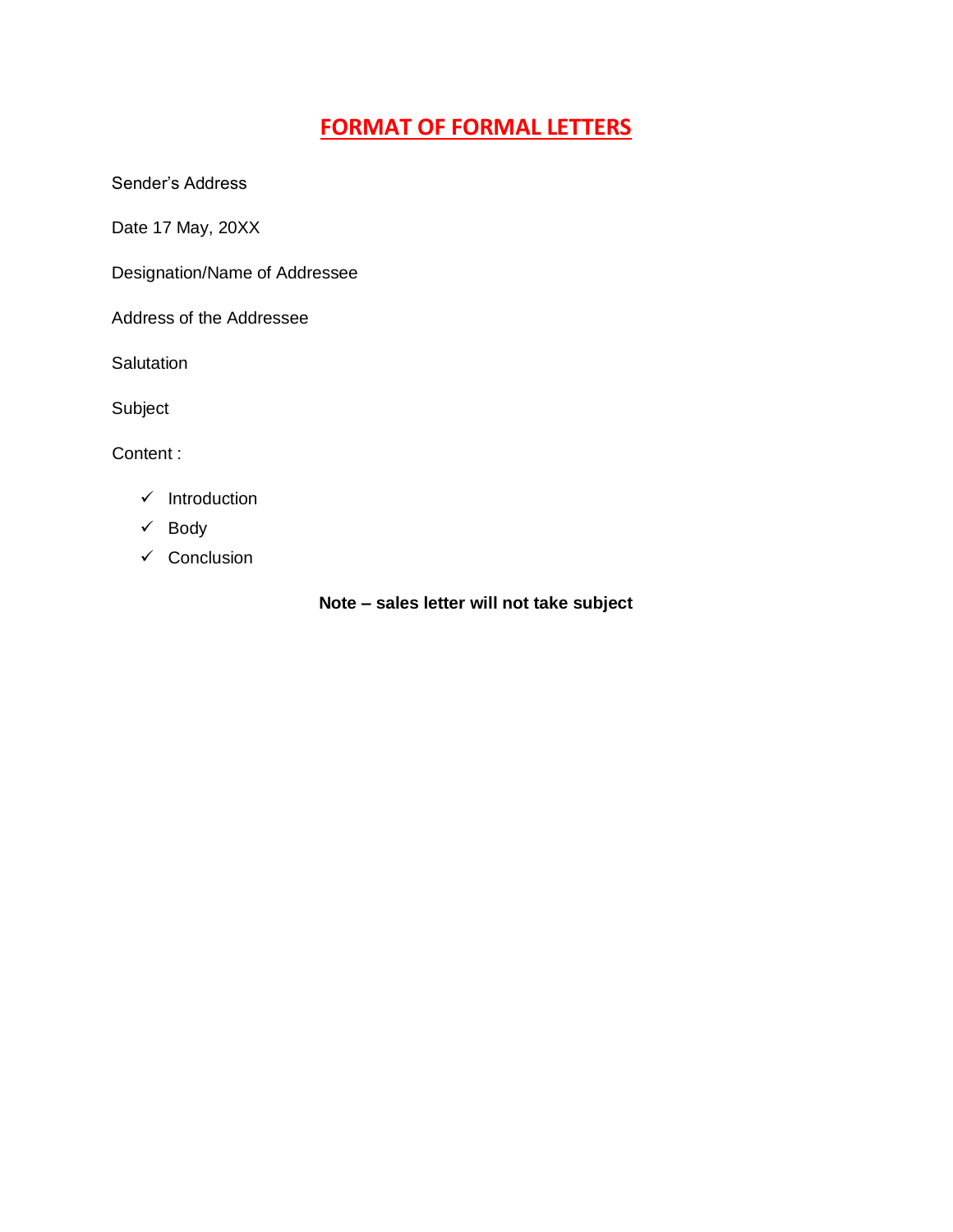### **FORMAT OF FORMAL LETTERS**

Sender's Address

Date 17 May, 20XX

Designation/Name of Addressee

Address of the Addressee

**Salutation** 

Subject

Content :

- $\checkmark$  Introduction
- $\checkmark$  Body
- $\checkmark$  Conclusion

**Note – sales letter will not take subject**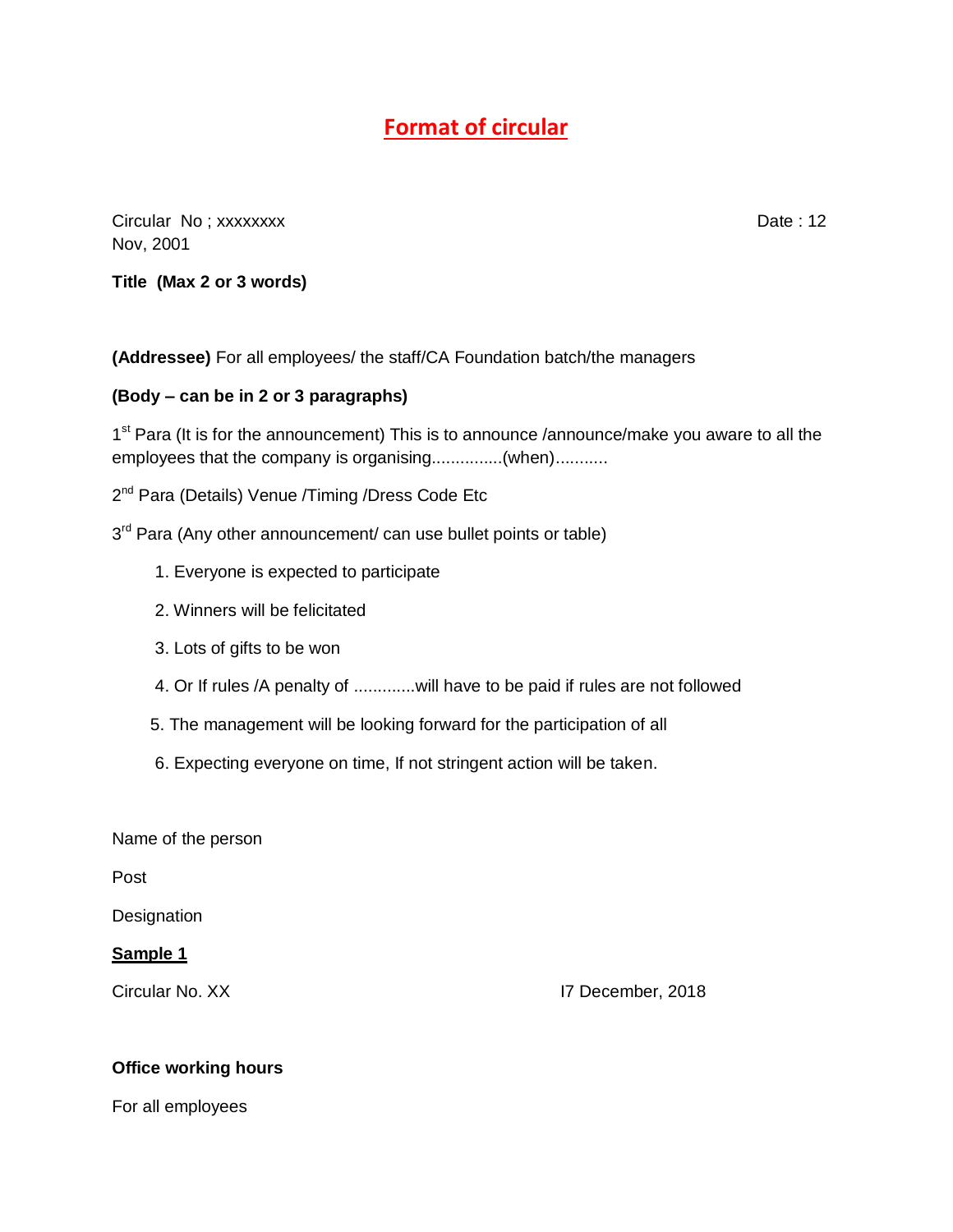### **Format of circular**

Circular No; xxxxxxxx **Date : 12** Nov, 2001

**Title (Max 2 or 3 words)**

**(Addressee)** For all employees/ the staff/CA Foundation batch/the managers

#### **(Body – can be in 2 or 3 paragraphs)**

1<sup>st</sup> Para (It is for the announcement) This is to announce /announce/make you aware to all the employees that the company is organising...............(when)...........

2<sup>nd</sup> Para (Details) Venue /Timing /Dress Code Etc

3<sup>rd</sup> Para (Any other announcement/ can use bullet points or table)

- 1. Everyone is expected to participate
- 2. Winners will be felicitated
- 3. Lots of gifts to be won
- 4. Or If rules /A penalty of .............will have to be paid if rules are not followed
- 5. The management will be looking forward for the participation of all
- 6. Expecting everyone on time, If not stringent action will be taken.

Name of the person

Post

**Designation** 

#### **Sample 1**

Circular No. XX I7 December, 2018

#### **Office working hours**

For all employees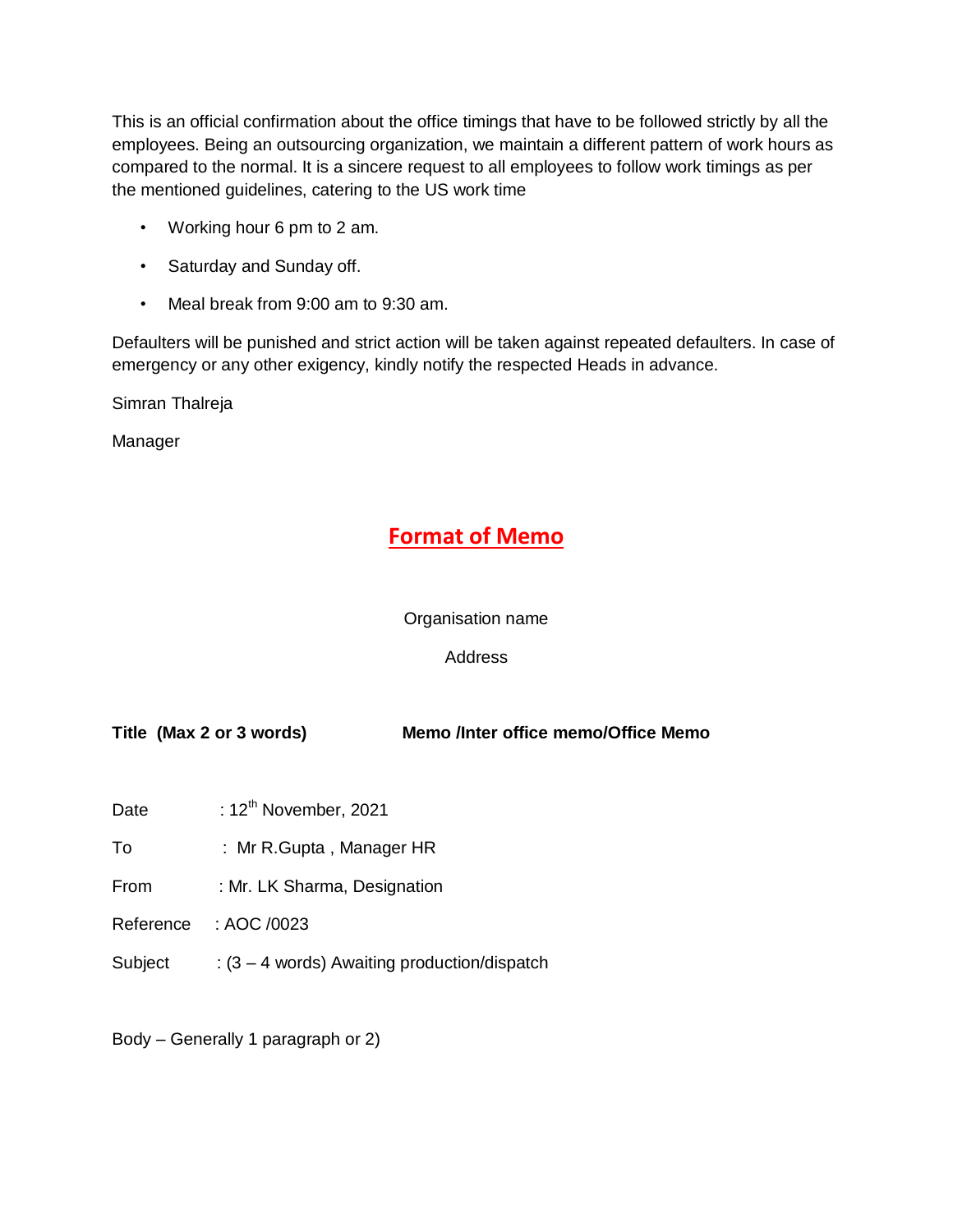This is an official confirmation about the office timings that have to be followed strictly by all the employees. Being an outsourcing organization, we maintain a different pattern of work hours as compared to the normal. It is a sincere request to all employees to follow work timings as per the mentioned guidelines, catering to the US work time

- Working hour 6 pm to 2 am.
- Saturday and Sunday off.
- Meal break from 9:00 am to 9:30 am.

Defaulters will be punished and strict action will be taken against repeated defaulters. In case of emergency or any other exigency, kindly notify the respected Heads in advance.

Simran Thalreja

Manager

### **Format of Memo**

Organisation name

#### Address

**Title (Max 2 or 3 words) Memo /Inter office memo/Office Memo**

- Date : 12<sup>th</sup> November, 2021
- To : Mr R.Gupta, Manager HR
- From : Mr. LK Sharma, Designation
- Reference : AOC /0023
- Subject :  $(3 4$  words) Awaiting production/dispatch

Body – Generally 1 paragraph or 2)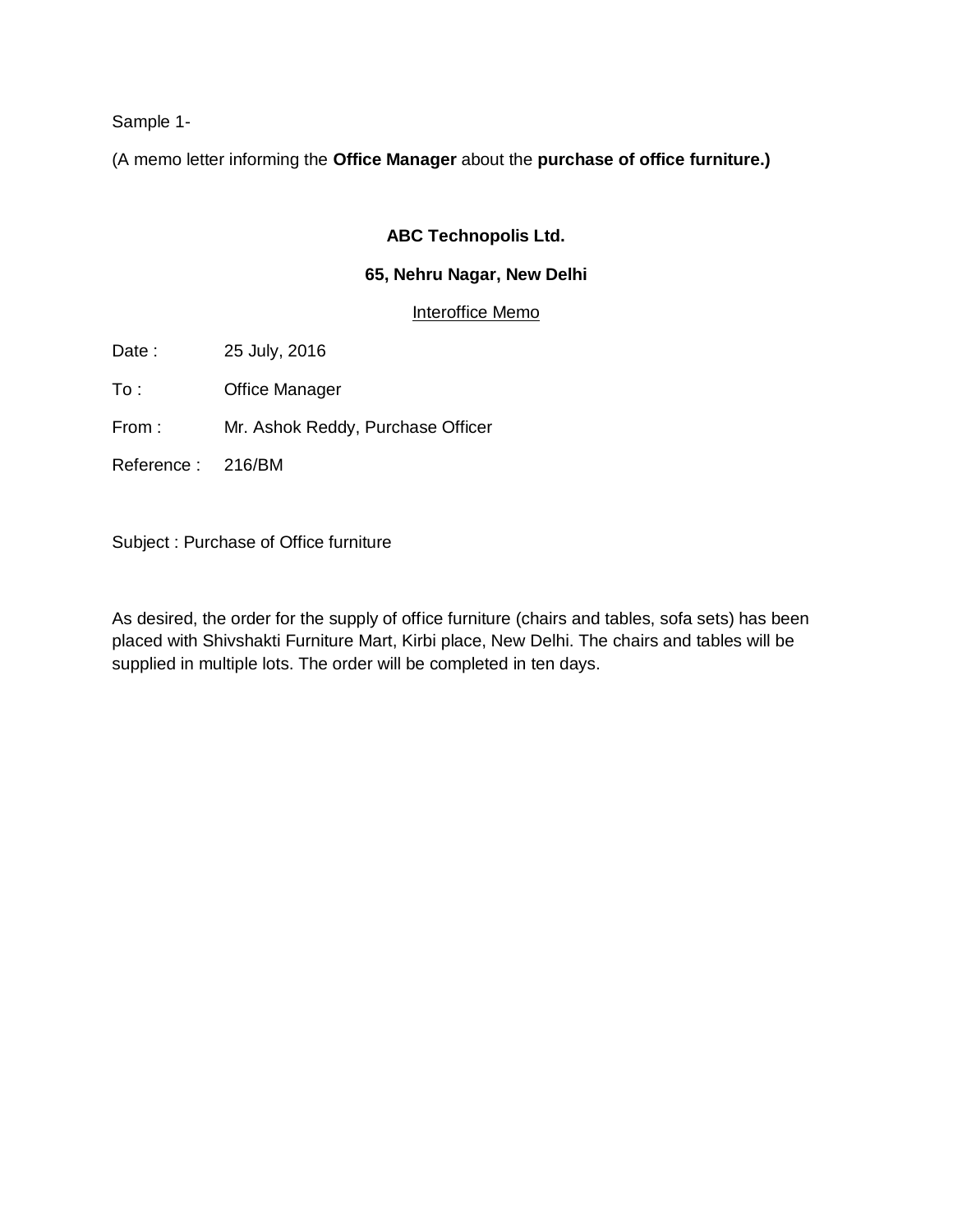Sample 1-

(A memo letter informing the **Office Manager** about the **purchase of office furniture.)** 

#### **ABC Technopolis Ltd.**

#### **65, Nehru Nagar, New Delhi**

Interoffice Memo

Date : 25 July, 2016

To : Office Manager

From : Mr. Ashok Reddy, Purchase Officer

Reference : 216/BM

Subject : Purchase of Office furniture

As desired, the order for the supply of office furniture (chairs and tables, sofa sets) has been placed with Shivshakti Furniture Mart, Kirbi place, New Delhi. The chairs and tables will be supplied in multiple lots. The order will be completed in ten days.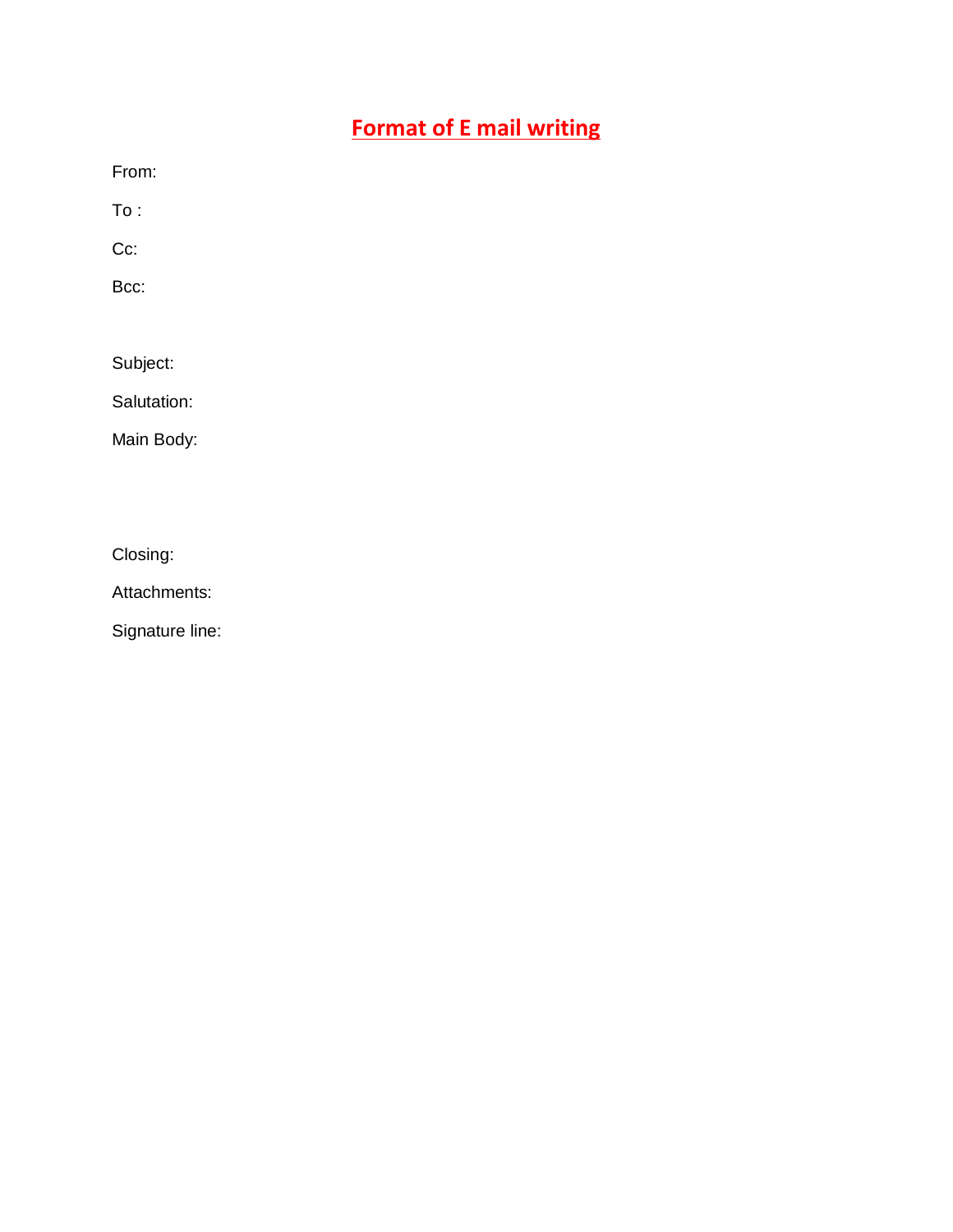## **Format of E mail writing**

From:

To :

Cc:

Bcc:

Subject:

Salutation:

Main Body:

Closing:

Attachments:

Signature line: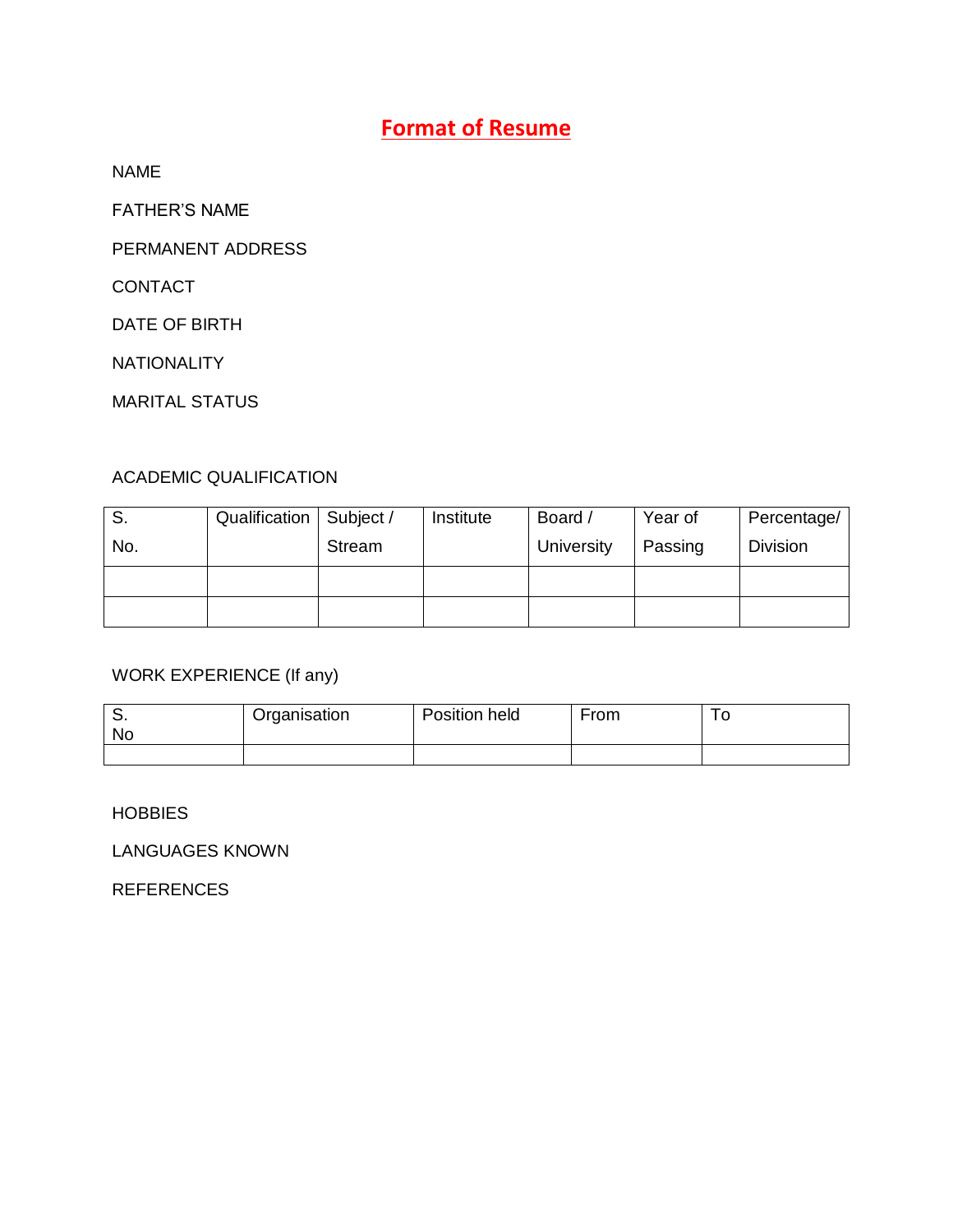### **Format of Resume**

NAME

FATHER'S NAME

PERMANENT ADDRESS

CONTACT

DATE OF BIRTH

NATIONALITY

MARITAL STATUS

#### ACADEMIC QUALIFICATION

| S.  | Qualification   Subject / |               | Institute | Board /    | Year of | Percentage/     |
|-----|---------------------------|---------------|-----------|------------|---------|-----------------|
| No. |                           | <b>Stream</b> |           | University | Passing | <b>Division</b> |
|     |                           |               |           |            |         |                 |
|     |                           |               |           |            |         |                 |

#### WORK EXPERIENCE (If any)

| No | Organisation | Position held | From | ັ |
|----|--------------|---------------|------|---|
|    |              |               |      |   |

#### **HOBBIES**

LANGUAGES KNOWN

REFERENCES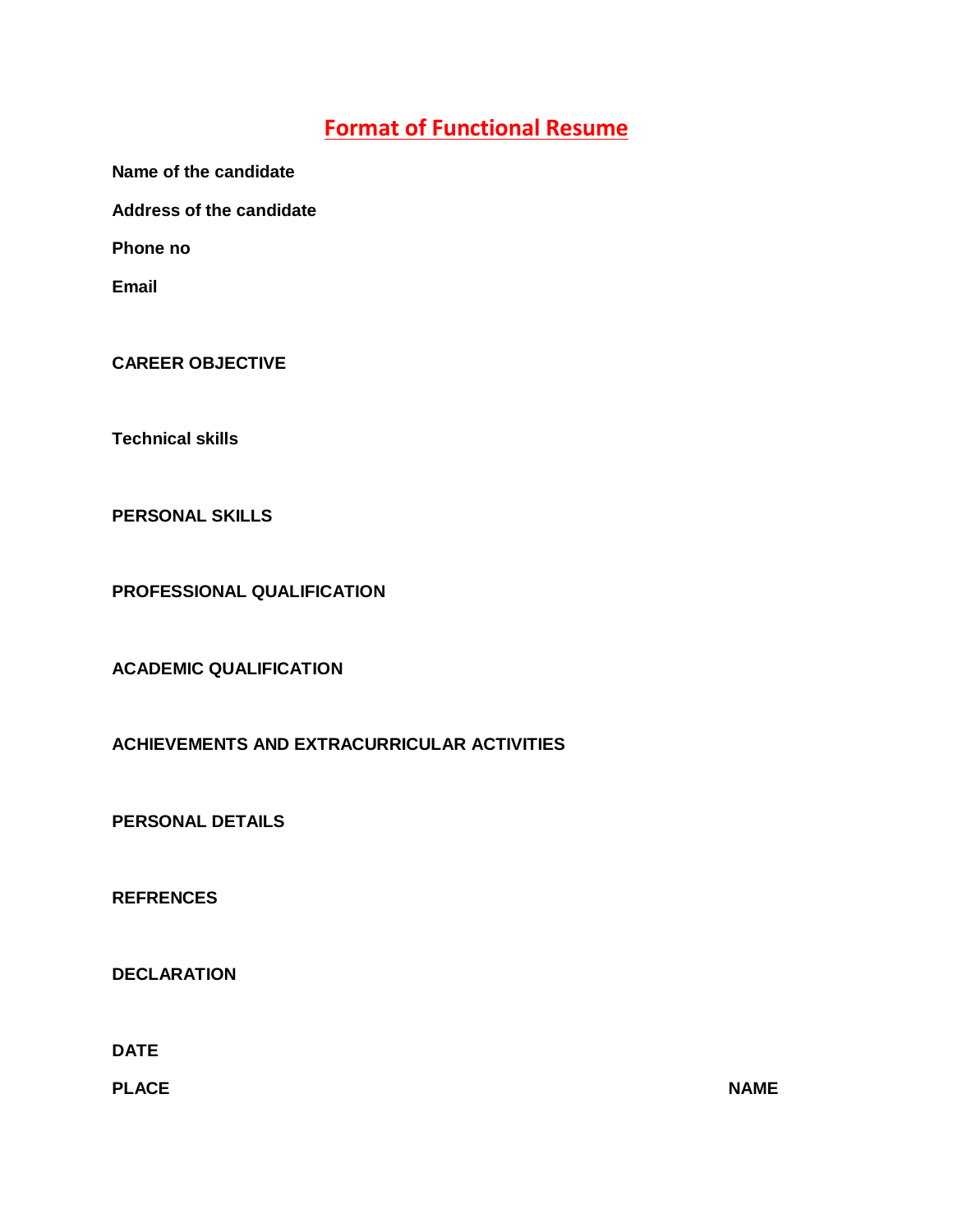### **Format of Functional Resume**

**Name of the candidate**

**Address of the candidate**

**Phone no**

**Email**

**CAREER OBJECTIVE**

**Technical skills**

**PERSONAL SKILLS**

**PROFESSIONAL QUALIFICATION**

**ACADEMIC QUALIFICATION**

**ACHIEVEMENTS AND EXTRACURRICULAR ACTIVITIES**

**PERSONAL DETAILS**

**REFRENCES**

**DECLARATION**

**DATE**

**PLACE NAME**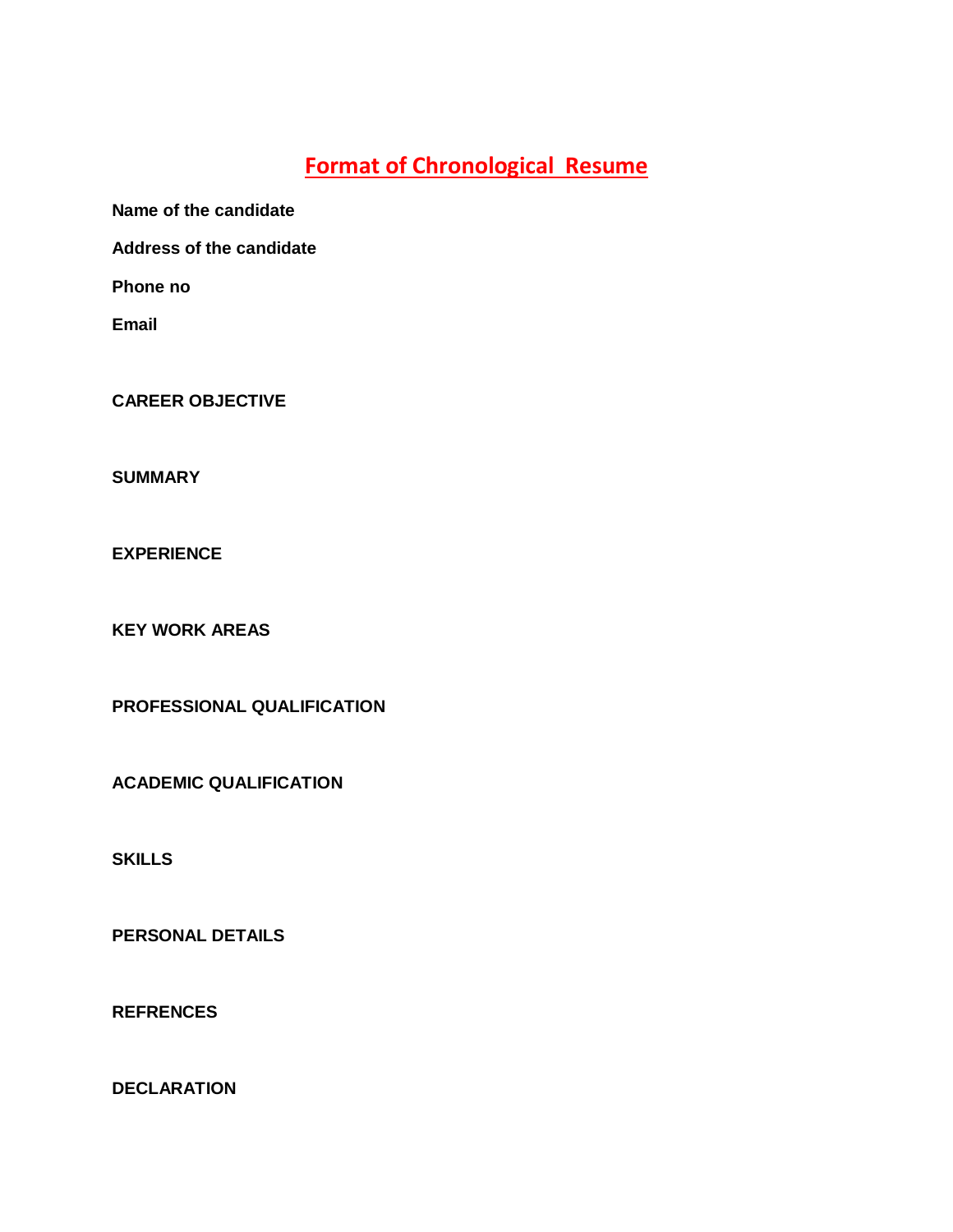### **Format of Chronological Resume**

**Name of the candidate**

**Address of the candidate**

**Phone no**

**Email**

**CAREER OBJECTIVE**

**SUMMARY**

**EXPERIENCE**

**KEY WORK AREAS**

**PROFESSIONAL QUALIFICATION**

**ACADEMIC QUALIFICATION**

**SKILLS**

**PERSONAL DETAILS**

**REFRENCES**

**DECLARATION**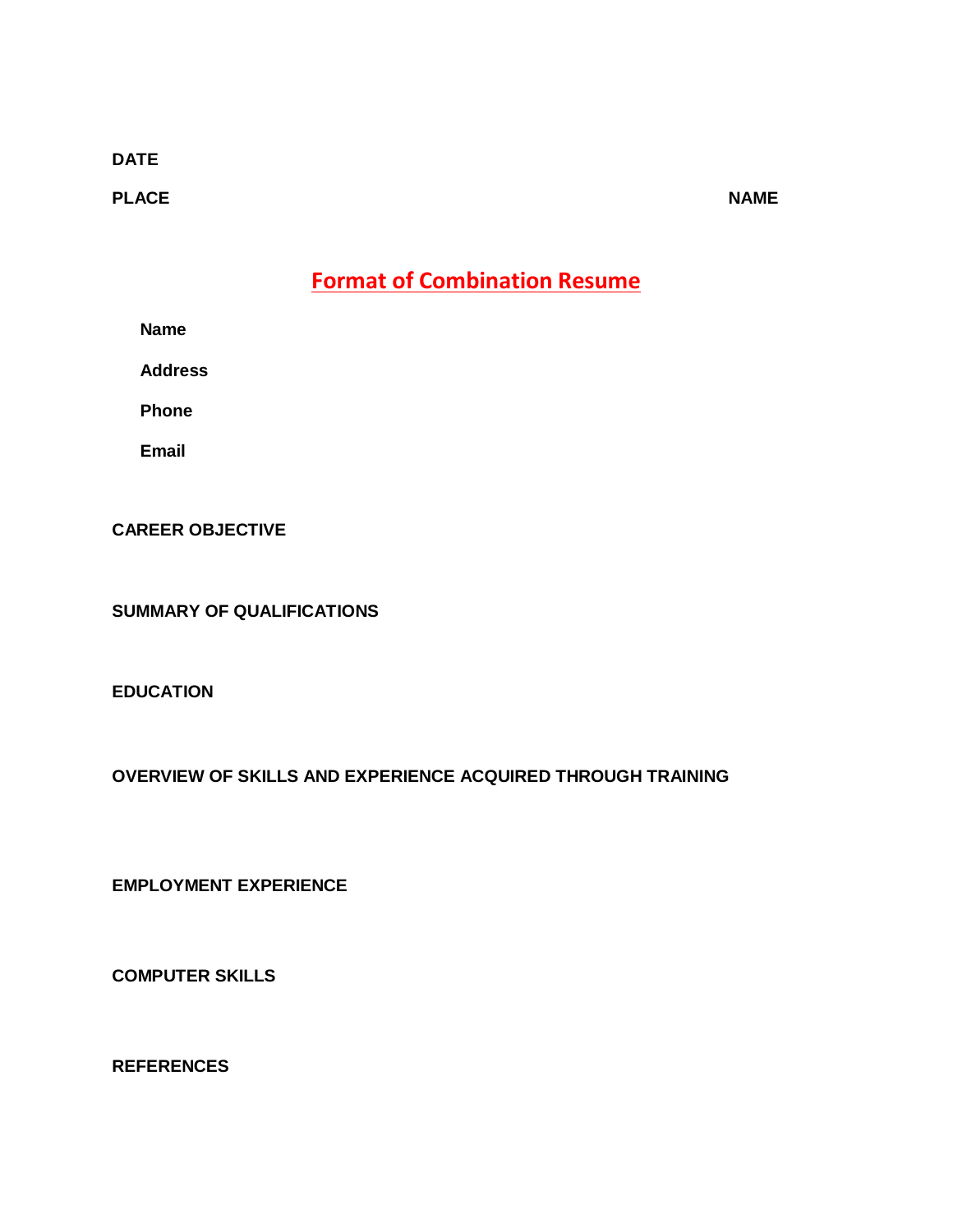#### **DATE**

**PLACE NAME** 

**Format of Combination Resume**

**Name**

**Address**

**Phone**

**Email**

**CAREER OBJECTIVE**

**SUMMARY OF QUALIFICATIONS**

**EDUCATION**

**OVERVIEW OF SKILLS AND EXPERIENCE ACQUIRED THROUGH TRAINING**

**EMPLOYMENT EXPERIENCE** 

**COMPUTER SKILLS** 

**REFERENCES**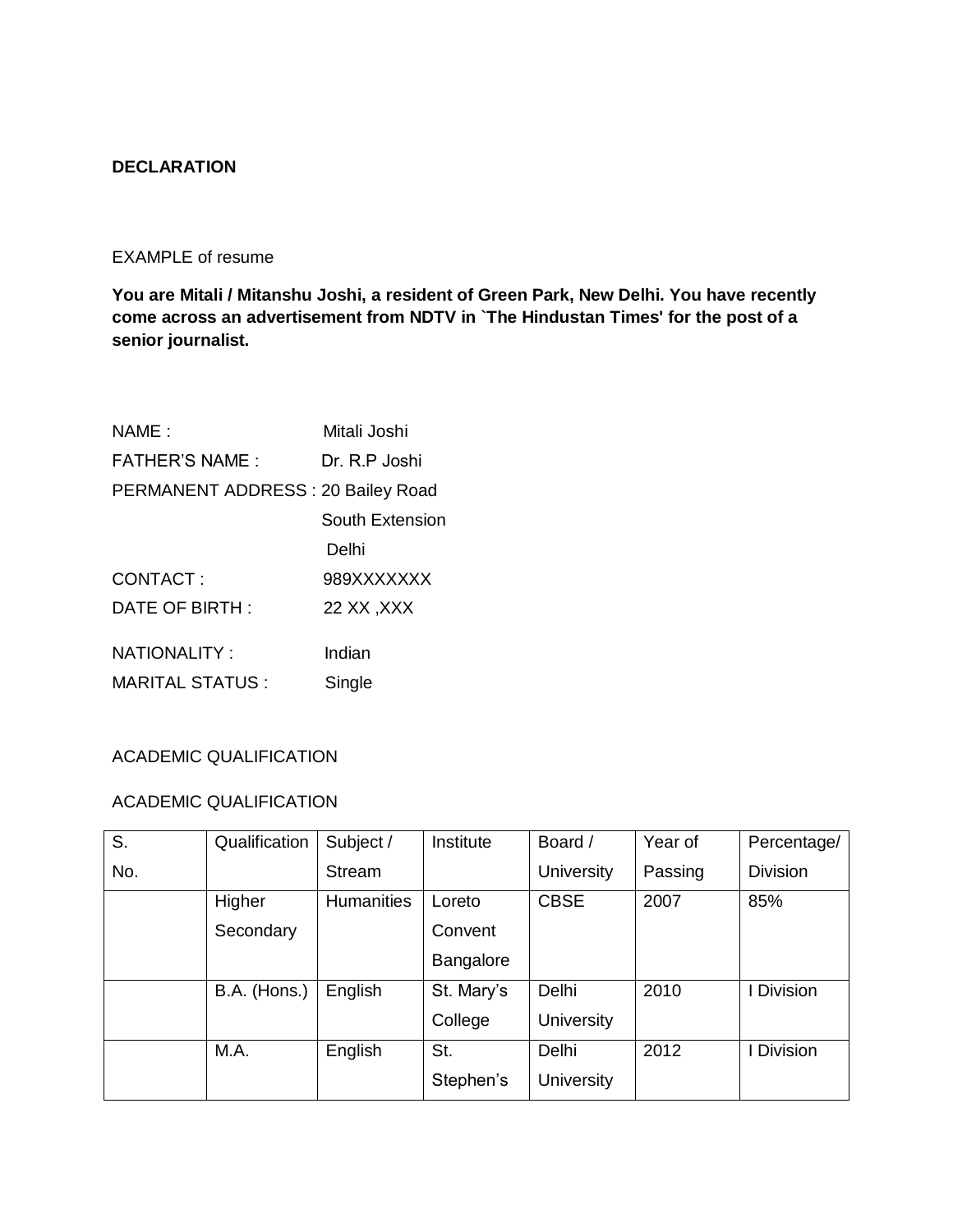#### **DECLARATION**

#### EXAMPLE of resume

**You are Mitali / Mitanshu Joshi, a resident of Green Park, New Delhi. You have recently come across an advertisement from NDTV in `The Hindustan Times' for the post of a senior journalist.** 

| NAME:                             | Mitali Joshi    |
|-----------------------------------|-----------------|
| <b>FATHER'S NAME:</b>             | Dr. R.P Joshi   |
| PERMANENT ADDRESS: 20 Bailey Road |                 |
|                                   | South Extension |
|                                   | Delhi           |
| CONTACT:                          | 989XXXXXXX      |
| DATE OF BIRTH:                    | 22 XX, XXX      |
| <b>NATIONALITY:</b>               | Indian          |
|                                   |                 |
| <b>MARITAL STATUS:</b>            | Single          |

#### ACADEMIC QUALIFICATION

#### ACADEMIC QUALIFICATION

| S.  | Qualification | Subject /         | Institute        | Board /           | Year of | Percentage/     |
|-----|---------------|-------------------|------------------|-------------------|---------|-----------------|
| No. |               | Stream            |                  | <b>University</b> | Passing | <b>Division</b> |
|     | Higher        | <b>Humanities</b> | Loreto           | <b>CBSE</b>       | 2007    | 85%             |
|     | Secondary     |                   | Convent          |                   |         |                 |
|     |               |                   | <b>Bangalore</b> |                   |         |                 |
|     | B.A. (Hons.)  | English           | St. Mary's       | Delhi             | 2010    | Division        |
|     |               |                   | College          | <b>University</b> |         |                 |
|     | M.A.          | English           | St.              | <b>Delhi</b>      | 2012    | <b>Division</b> |
|     |               |                   | Stephen's        | <b>University</b> |         |                 |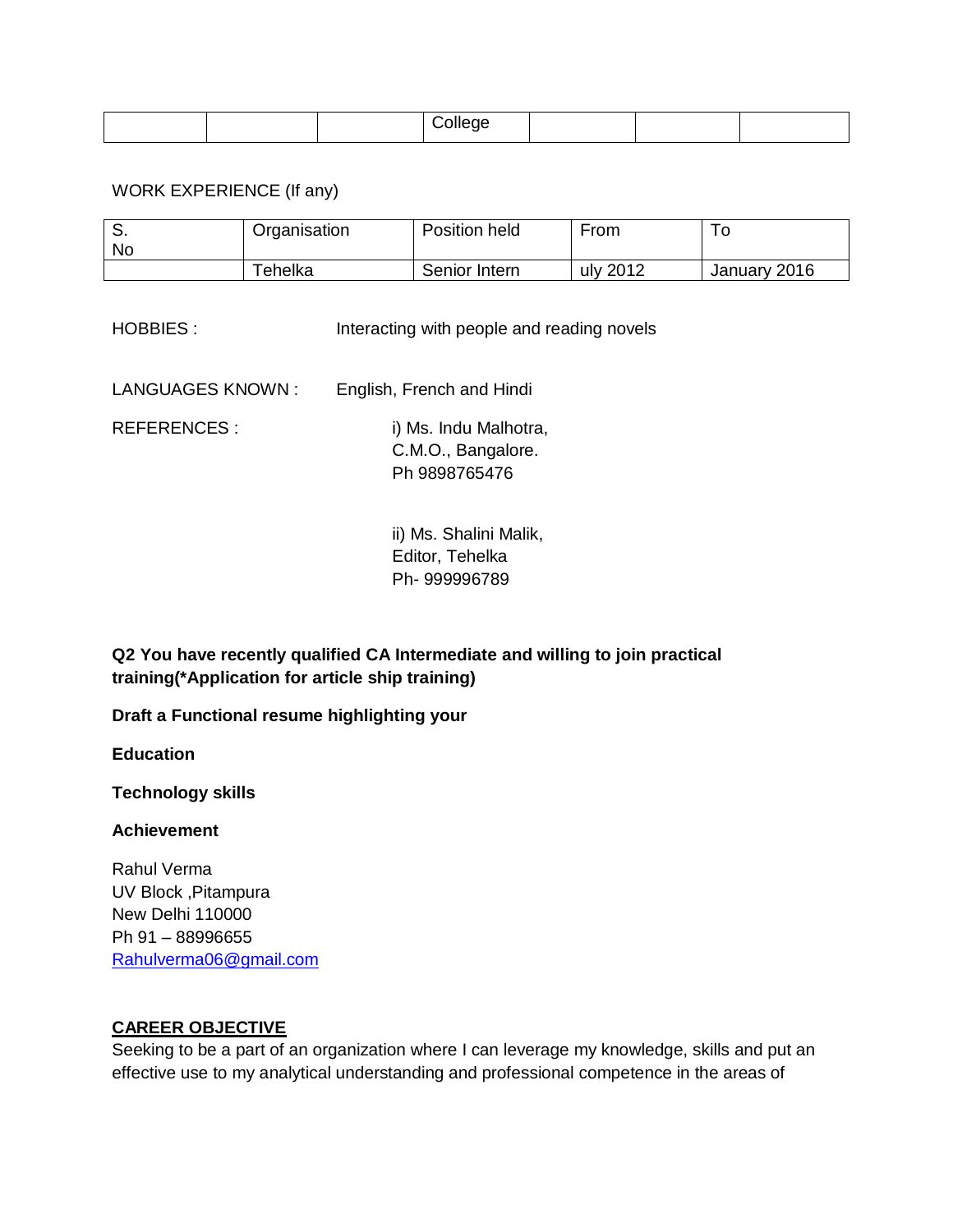#### WORK EXPERIENCE (If any)

| <b>No</b> | Organisation                 | Position held | From     | l O          |
|-----------|------------------------------|---------------|----------|--------------|
|           | $\mathop{}\mathsf{re}$ helka | Senior Intern | uly 2012 | January 2016 |

HOBBIES : Interacting with people and reading novels

LANGUAGES KNOWN : English, French and Hindi

REFERENCES : i) Ms. Indu Malhotra, C.M.O., Bangalore. Ph 9898765476

> ii) Ms. Shalini Malik, Editor, Tehelka Ph- 999996789

**Q2 You have recently qualified CA Intermediate and willing to join practical training(\*Application for article ship training)**

**Draft a Functional resume highlighting your**

**Education**

**Technology skills**

#### **Achievement**

Rahul Verma UV Block ,Pitampura New Delhi 110000 Ph 91 – 88996655 [Rahulverma06@gmail.com](mailto:Rahulverma06@gmail.com)

#### **CAREER OBJECTIVE**

Seeking to be a part of an organization where I can leverage my knowledge, skills and put an effective use to my analytical understanding and professional competence in the areas of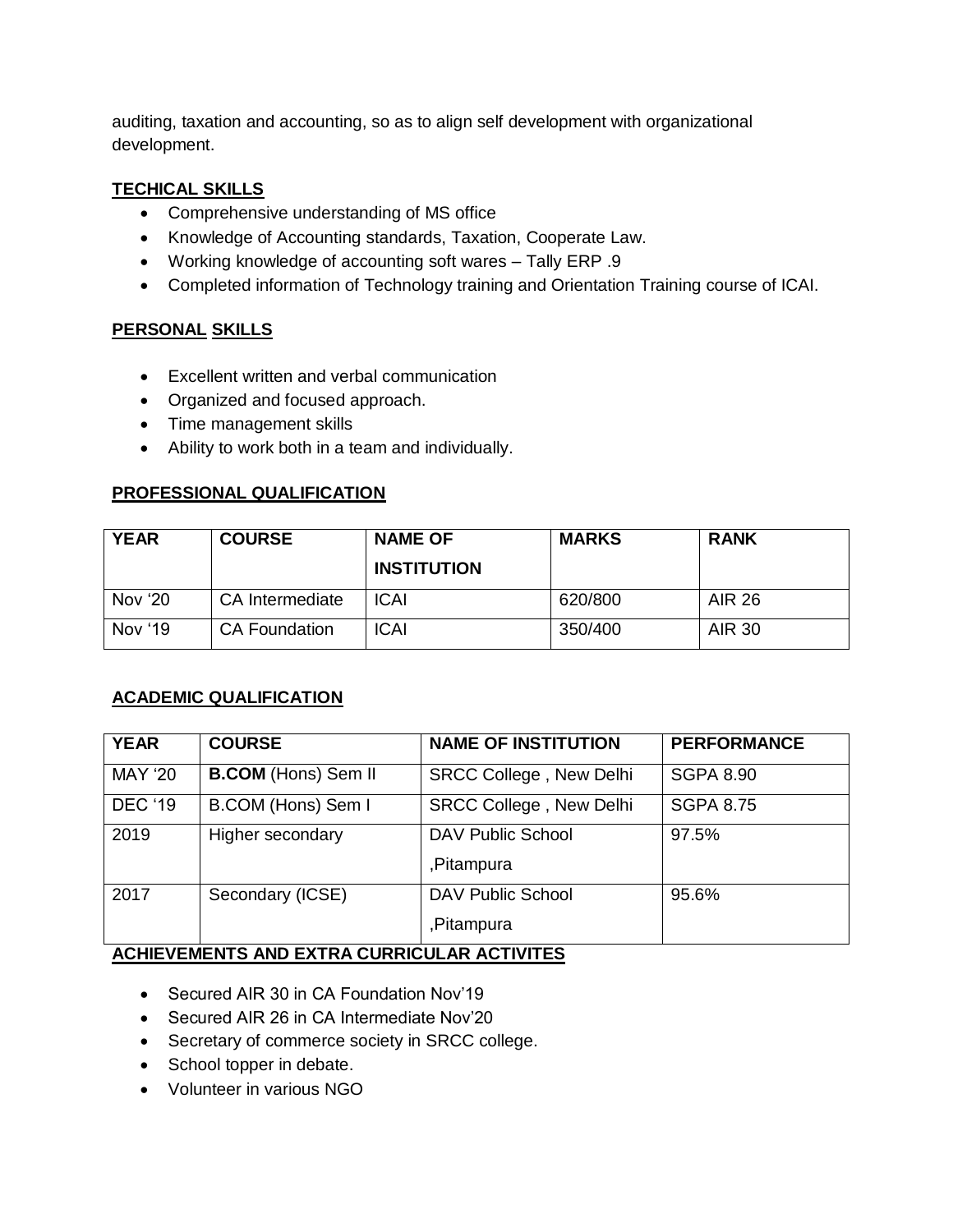auditing, taxation and accounting, so as to align self development with organizational development.

#### **TECHICAL SKILLS**

- Comprehensive understanding of MS office
- Knowledge of Accounting standards, Taxation, Cooperate Law.
- Working knowledge of accounting soft wares Tally ERP .9
- Completed information of Technology training and Orientation Training course of ICAI.

#### **PERSONAL SKILLS**

- Excellent written and verbal communication
- Organized and focused approach.
- Time management skills
- Ability to work both in a team and individually.

#### **PROFESSIONAL QUALIFICATION**

| <b>YEAR</b> | <b>COURSE</b>        | <b>NAME OF</b><br><b>INSTITUTION</b> | <b>MARKS</b> | <b>RANK</b>   |
|-------------|----------------------|--------------------------------------|--------------|---------------|
| Nov '20     | CA Intermediate      | <b>ICAI</b>                          | 620/800      | <b>AIR 26</b> |
| Nov '19     | <b>CA Foundation</b> | <b>ICAI</b>                          | 350/400      | <b>AIR 30</b> |

#### **ACADEMIC QUALIFICATION**

| <b>YEAR</b>    | <b>COURSE</b>              | <b>NAME OF INSTITUTION</b>     | <b>PERFORMANCE</b> |
|----------------|----------------------------|--------------------------------|--------------------|
| <b>MAY '20</b> | <b>B.COM</b> (Hons) Sem II | <b>SRCC College, New Delhi</b> | <b>SGPA 8.90</b>   |
| <b>DEC '19</b> | B.COM (Hons) Sem I         | <b>SRCC College, New Delhi</b> | <b>SGPA 8.75</b>   |
| 2019           | Higher secondary           | <b>DAV Public School</b>       | 97.5%              |
|                |                            | ,Pitampura                     |                    |
| 2017           | Secondary (ICSE)           | <b>DAV Public School</b>       | 95.6%              |
|                |                            | ,Pitampura                     |                    |

#### **ACHIEVEMENTS AND EXTRA CURRICULAR ACTIVITES**

- Secured AIR 30 in CA Foundation Nov'19
- Secured AIR 26 in CA Intermediate Nov'20
- Secretary of commerce society in SRCC college.
- School topper in debate.
- Volunteer in various NGO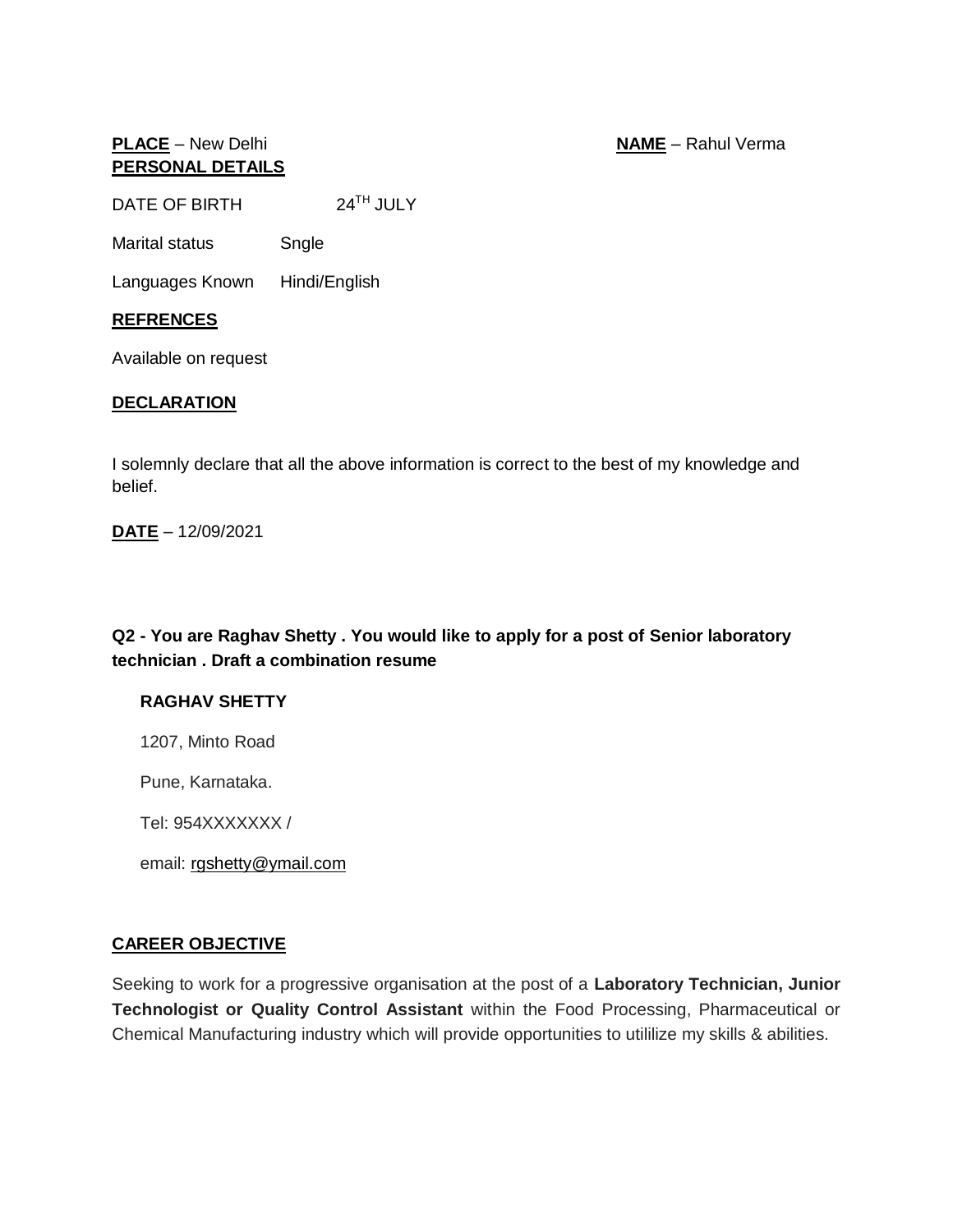#### **PLACE** – New Delhi **NAME** – Rahul Verma **PERSONAL DETAILS**

DATE OF BIRTH 24<sup>TH</sup> JULY

Marital status Sngle

Languages Known Hindi/English

#### **REFRENCES**

Available on request

#### **DECLARATION**

I solemnly declare that all the above information is correct to the best of my knowledge and belief.

**DATE** – 12/09/2021

**Q2 - You are Raghav Shetty . You would like to apply for a post of Senior laboratory technician . Draft a combination resume** 

#### **RAGHAV SHETTY**

1207, Minto Road

Pune, Karnataka.

Tel: 954XXXXXXX /

email: [rgshetty@ymail.com](mailto:r_shetty@ymail.com)

#### **CAREER OBJECTIVE**

Seeking to work for a progressive organisation at the post of a **Laboratory Technician, Junior Technologist or Quality Control Assistant** within the Food Processing, Pharmaceutical or Chemical Manufacturing industry which will provide opportunities to utililize my skills & abilities.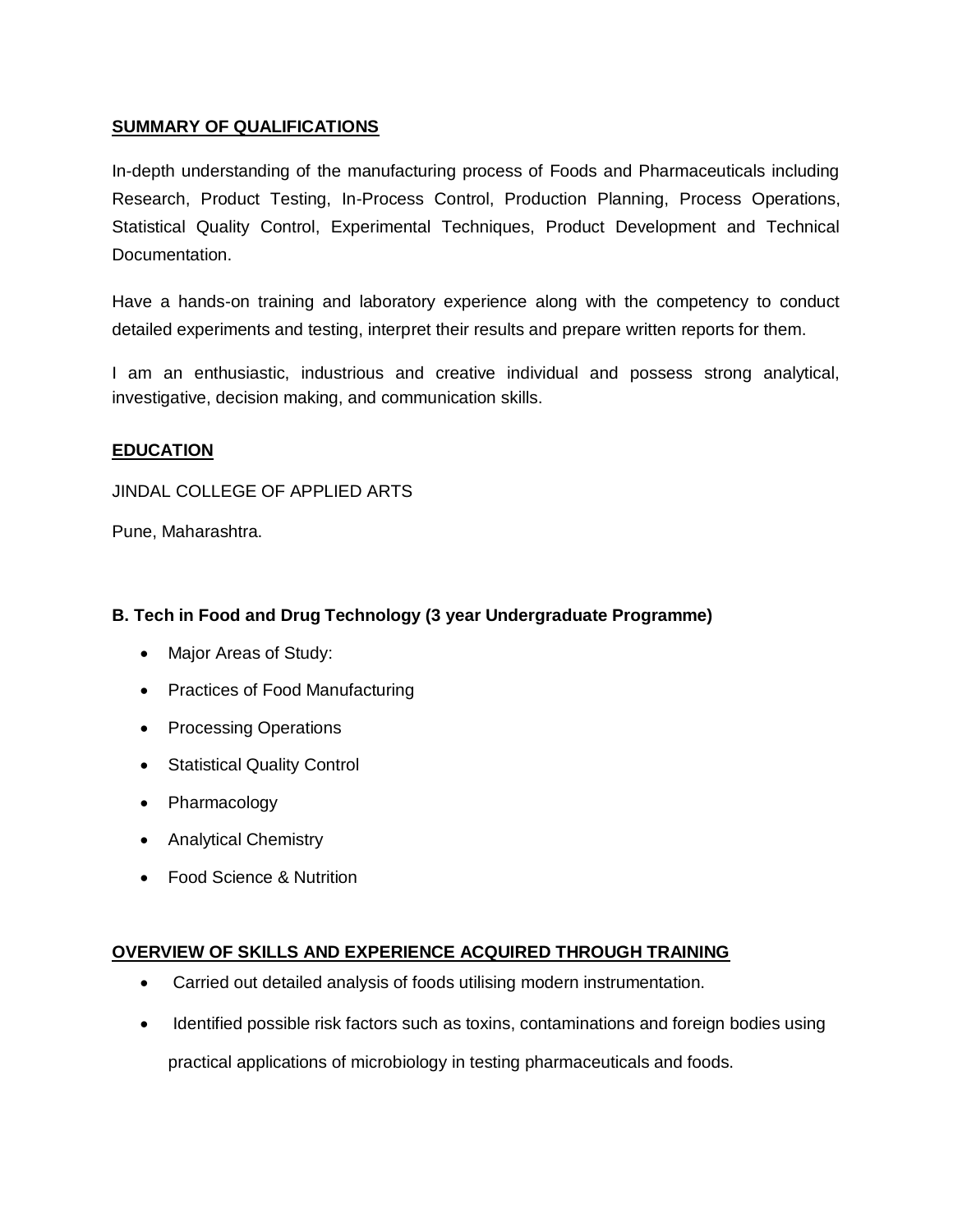#### **SUMMARY OF QUALIFICATIONS**

In-depth understanding of the manufacturing process of Foods and Pharmaceuticals including Research, Product Testing, In-Process Control, Production Planning, Process Operations, Statistical Quality Control, Experimental Techniques, Product Development and Technical Documentation.

Have a hands-on training and laboratory experience along with the competency to conduct detailed experiments and testing, interpret their results and prepare written reports for them.

I am an enthusiastic, industrious and creative individual and possess strong analytical, investigative, decision making, and communication skills.

#### **EDUCATION**

JINDAL COLLEGE OF APPLIED ARTS

Pune, Maharashtra.

#### **B. Tech in Food and Drug Technology (3 year Undergraduate Programme)**

- Major Areas of Study:
- Practices of Food Manufacturing
- Processing Operations
- Statistical Quality Control
- Pharmacology
- Analytical Chemistry
- Food Science & Nutrition

#### **OVERVIEW OF SKILLS AND EXPERIENCE ACQUIRED THROUGH TRAINING**

- Carried out detailed analysis of foods utilising modern instrumentation.
- Identified possible risk factors such as toxins, contaminations and foreign bodies using practical applications of microbiology in testing pharmaceuticals and foods.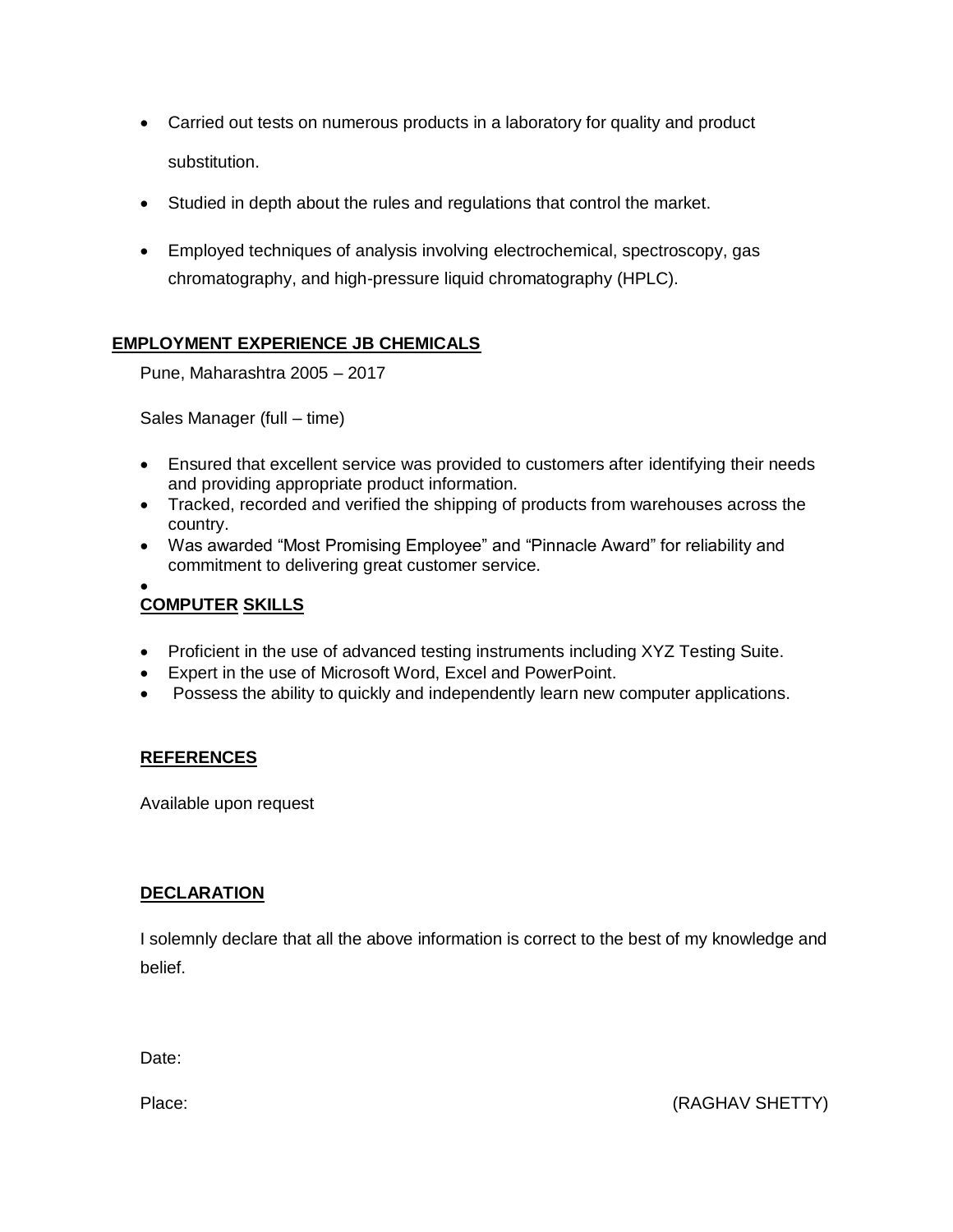- Carried out tests on numerous products in a laboratory for quality and product substitution.
- Studied in depth about the rules and regulations that control the market.
- Employed techniques of analysis involving electrochemical, spectroscopy, gas chromatography, and high-pressure liquid chromatography (HPLC).

#### **EMPLOYMENT EXPERIENCE JB CHEMICALS**

Pune, Maharashtra 2005 – 2017

Sales Manager (full – time)

- Ensured that excellent service was provided to customers after identifying their needs and providing appropriate product information.
- Tracked, recorded and verified the shipping of products from warehouses across the country.
- Was awarded "Most Promising Employee" and "Pinnacle Award" for reliability and commitment to delivering great customer service.

#### $\bullet$ **COMPUTER SKILLS**

- Proficient in the use of advanced testing instruments including XYZ Testing Suite.
- Expert in the use of Microsoft Word, Excel and PowerPoint.
- Possess the ability to quickly and independently learn new computer applications.

#### **REFERENCES**

Available upon request

#### **DECLARATION**

I solemnly declare that all the above information is correct to the best of my knowledge and belief.

Date:

Place: (RAGHAV SHETTY)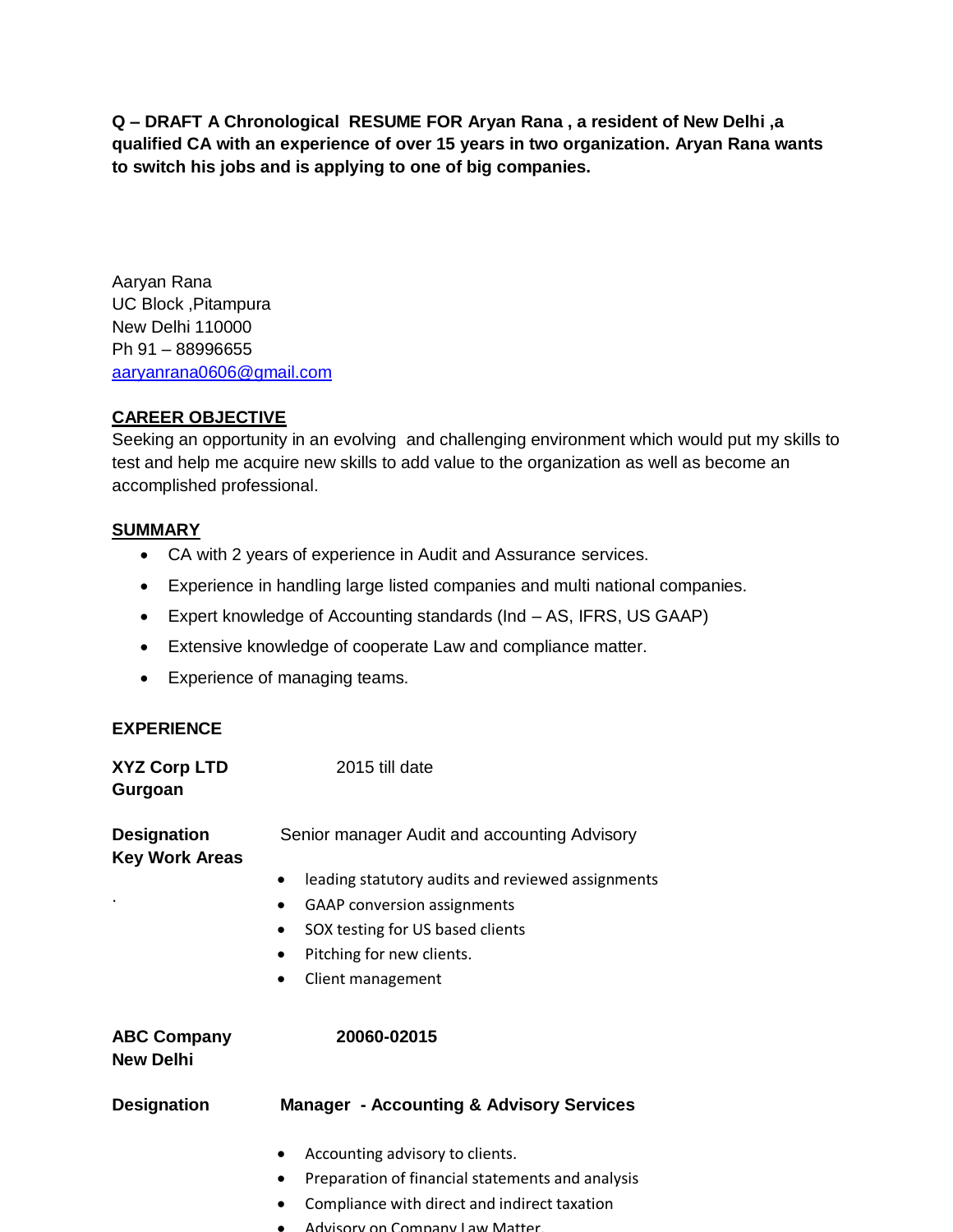**Q – DRAFT A Chronological RESUME FOR Aryan Rana , a resident of New Delhi ,a qualified CA with an experience of over 15 years in two organization. Aryan Rana wants to switch his jobs and is applying to one of big companies.**

Aaryan Rana UC Block ,Pitampura New Delhi 110000 Ph 91 – 88996655 [aaryanrana0606@gmail.com](mailto:aaryanrana0606@gmail.com)

#### **CAREER OBJECTIVE**

Seeking an opportunity in an evolving and challenging environment which would put my skills to test and help me acquire new skills to add value to the organization as well as become an accomplished professional.

#### **SUMMARY**

- CA with 2 years of experience in Audit and Assurance services.
- Experience in handling large listed companies and multi national companies.
- Expert knowledge of Accounting standards (Ind AS, IFRS, US GAAP)
- Extensive knowledge of cooperate Law and compliance matter.
- Experience of managing teams.

#### **EXPERIENCE**

| <b>XYZ Corp LTD</b><br>Gurgoan              | 2015 till date                                                 |
|---------------------------------------------|----------------------------------------------------------------|
| <b>Designation</b><br><b>Key Work Areas</b> | Senior manager Audit and accounting Advisory                   |
|                                             | leading statutory audits and reviewed assignments<br>$\bullet$ |
|                                             | <b>GAAP</b> conversion assignments                             |
|                                             | SOX testing for US based clients                               |
|                                             | Pitching for new clients.                                      |
|                                             | Client management                                              |
| <b>ABC Company</b><br><b>New Delhi</b>      | 20060-02015                                                    |
| <b>Designation</b>                          | <b>Manager - Accounting &amp; Advisory Services</b>            |
|                                             | Accounting advisory to clients.<br>$\bullet$                   |
|                                             | Preparation of financial statements and analysis<br>$\bullet$  |
|                                             | Compliance with direct and indirect taxation                   |

- Compliance with direct and indirect taxation Advisory on Company Law Matter.
-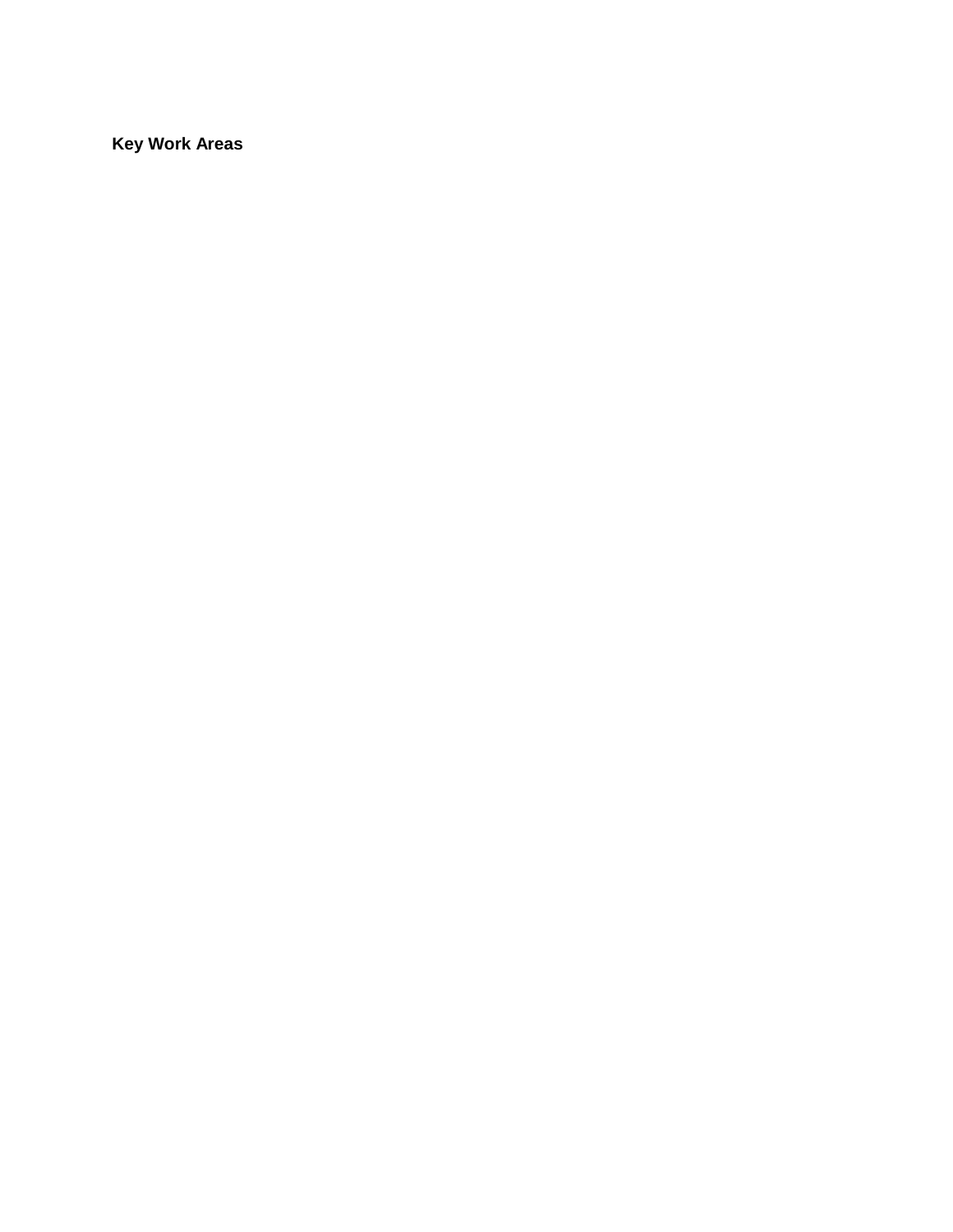**Key Work Areas**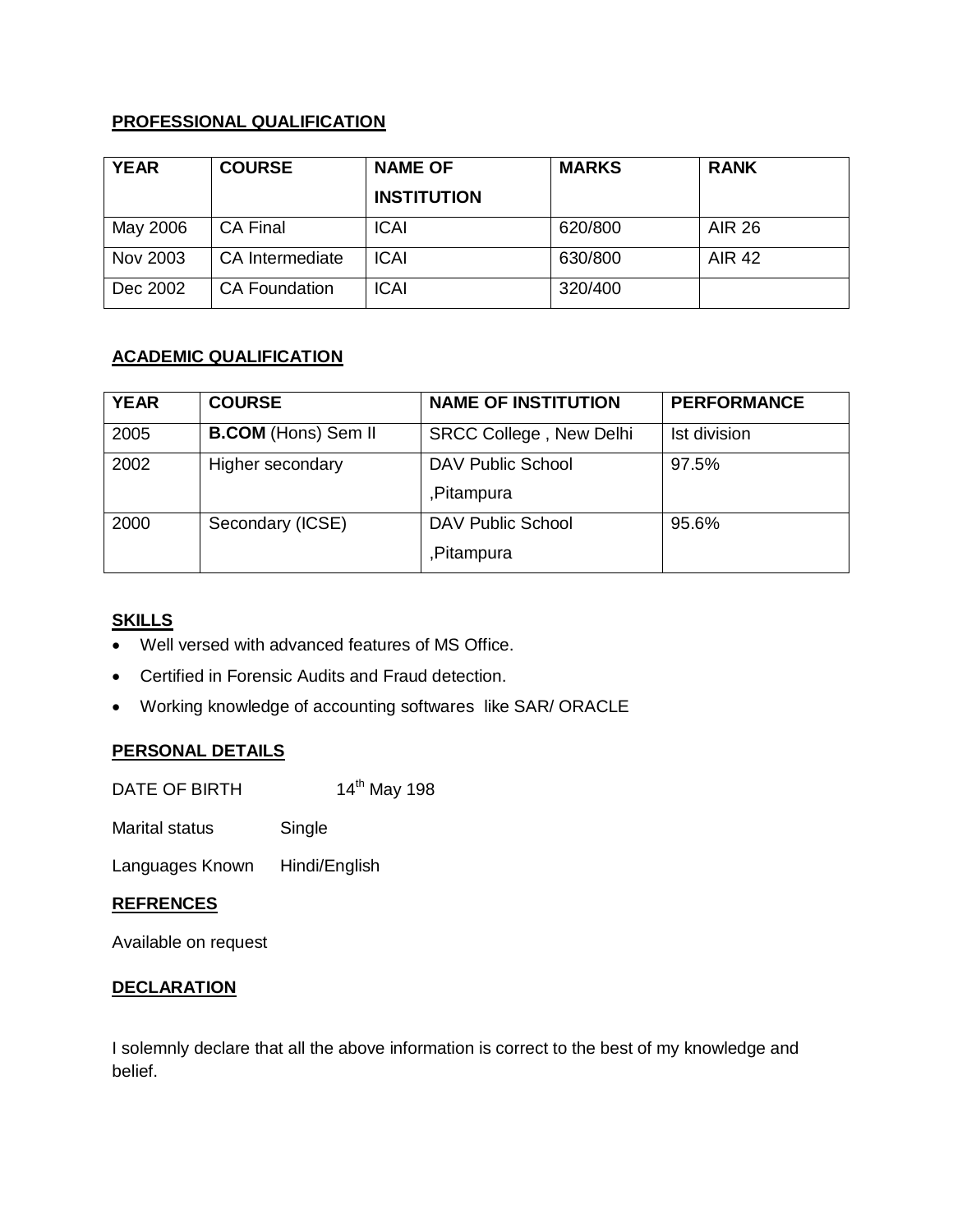#### **PROFESSIONAL QUALIFICATION**

| <b>YEAR</b> | <b>COURSE</b>        | <b>NAME OF</b>     | <b>MARKS</b> | <b>RANK</b>   |
|-------------|----------------------|--------------------|--------------|---------------|
|             |                      | <b>INSTITUTION</b> |              |               |
| May 2006    | <b>CA Final</b>      | <b>ICAI</b>        | 620/800      | <b>AIR 26</b> |
| Nov 2003    | CA Intermediate      | <b>ICAI</b>        | 630/800      | <b>AIR 42</b> |
| Dec 2002    | <b>CA Foundation</b> | <b>ICAI</b>        | 320/400      |               |

#### **ACADEMIC QUALIFICATION**

| <b>YEAR</b> | <b>COURSE</b>              | <b>NAME OF INSTITUTION</b>     | <b>PERFORMANCE</b> |
|-------------|----------------------------|--------------------------------|--------------------|
| 2005        | <b>B.COM</b> (Hons) Sem II | <b>SRCC College, New Delhi</b> | Ist division       |
| 2002        | Higher secondary           | <b>DAV Public School</b>       | 97.5%              |
|             |                            | ,Pitampura                     |                    |
| 2000        | Secondary (ICSE)           | DAV Public School              | 95.6%              |
|             |                            | ,Pitampura                     |                    |

#### **SKILLS**

- Well versed with advanced features of MS Office.
- Certified in Forensic Audits and Fraud detection.
- Working knowledge of accounting softwares like SAR/ ORACLE

#### **PERSONAL DETAILS**

DATE OF BIRTH 14<sup>th</sup> May 198

Marital status Single

Languages Known Hindi/English

#### **REFRENCES**

Available on request

#### **DECLARATION**

I solemnly declare that all the above information is correct to the best of my knowledge and belief.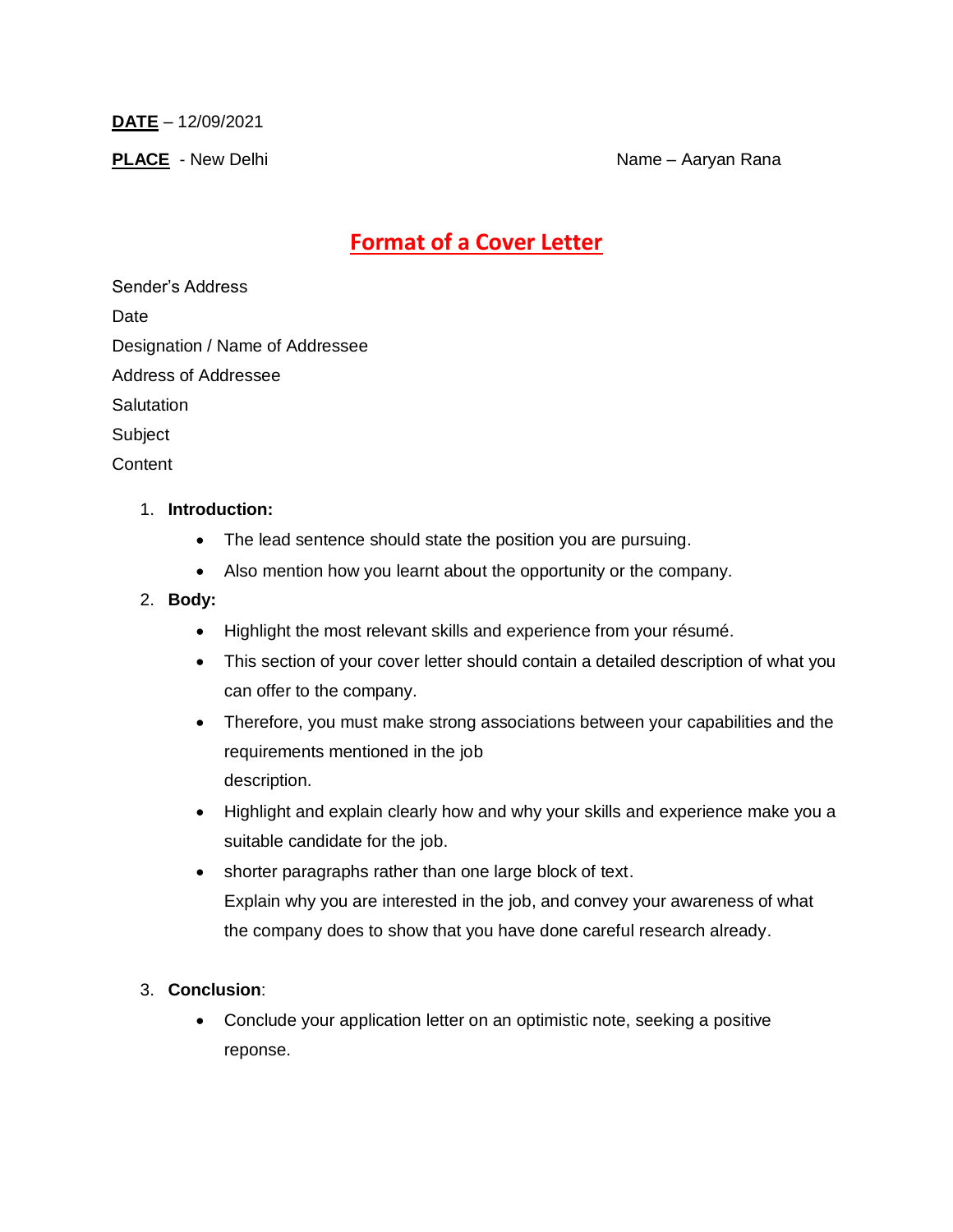**DATE** – 12/09/2021

**PLACE** - New Delhi Name – Aaryan Rana

### **Format of a Cover Letter**

Sender's Address

Date

Designation / Name of Addressee

Address of Addressee

**Salutation** 

Subject

**Content** 

#### 1. **Introduction:**

- The lead sentence should state the position you are pursuing.
- Also mention how you learnt about the opportunity or the company.

#### 2. **Body:**

- Highlight the most relevant skills and experience from your résumé.
- This section of your cover letter should contain a detailed description of what you can offer to the company.
- Therefore, you must make strong associations between your capabilities and the requirements mentioned in the job description.
- Highlight and explain clearly how and why your skills and experience make you a suitable candidate for the job.
- shorter paragraphs rather than one large block of text. Explain why you are interested in the job, and convey your awareness of what the company does to show that you have done careful research already.

#### 3. **Conclusion**:

• Conclude your application letter on an optimistic note, seeking a positive reponse.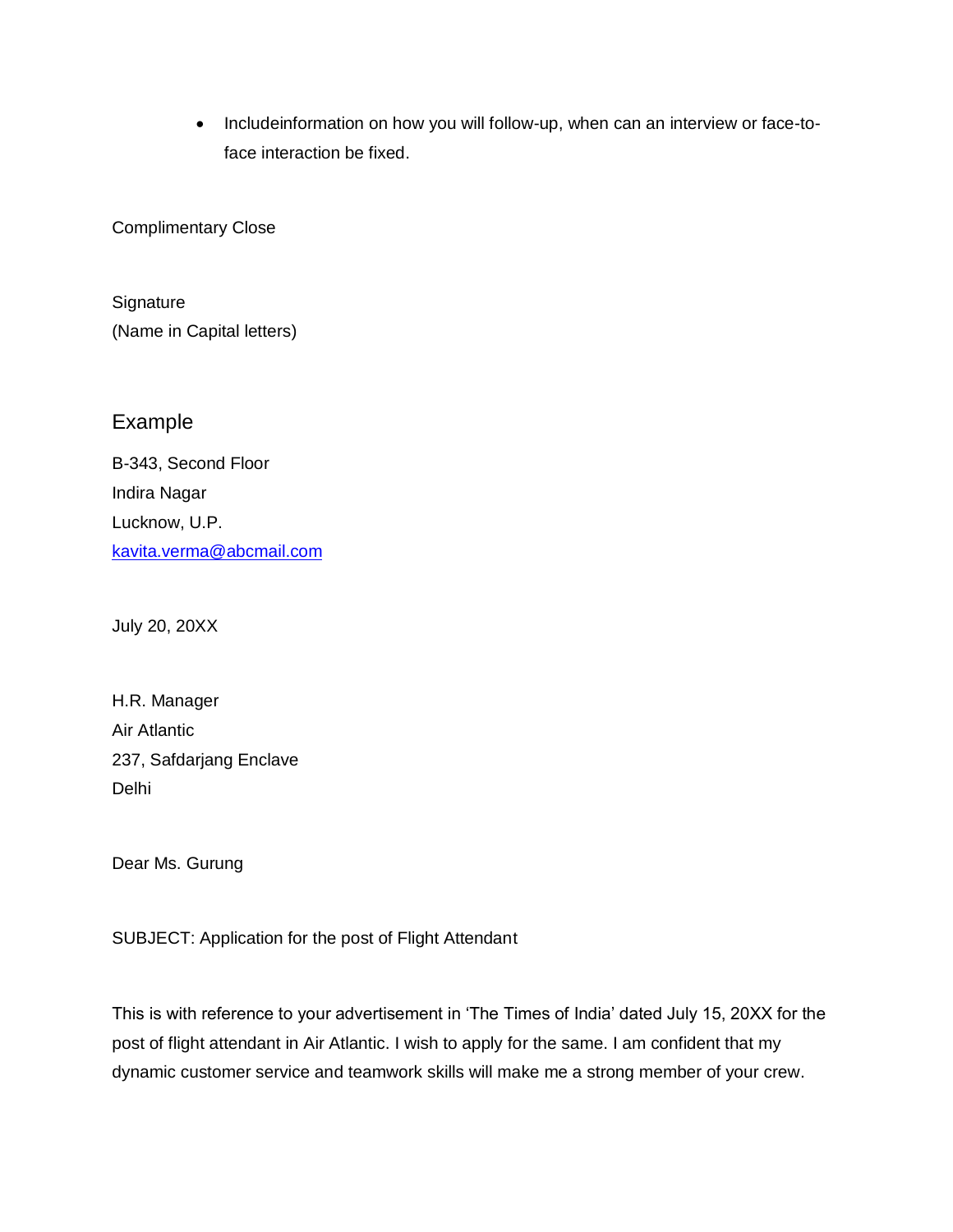• Includeinformation on how you will follow-up, when can an interview or face-toface interaction be fixed.

Complimentary Close

**Signature** (Name in Capital letters)

### Example

B-343, Second Floor Indira Nagar Lucknow, U.P. [kavita.verma@abcmail.com](mailto:kavita.verma@abcmail.com)

July 20, 20XX

H.R. Manager Air Atlantic 237, Safdarjang Enclave Delhi

Dear Ms. Gurung

SUBJECT: Application for the post of Flight Attendant

This is with reference to your advertisement in 'The Times of India' dated July 15, 20XX for the post of flight attendant in Air Atlantic. I wish to apply for the same. I am confident that my dynamic customer service and teamwork skills will make me a strong member of your crew.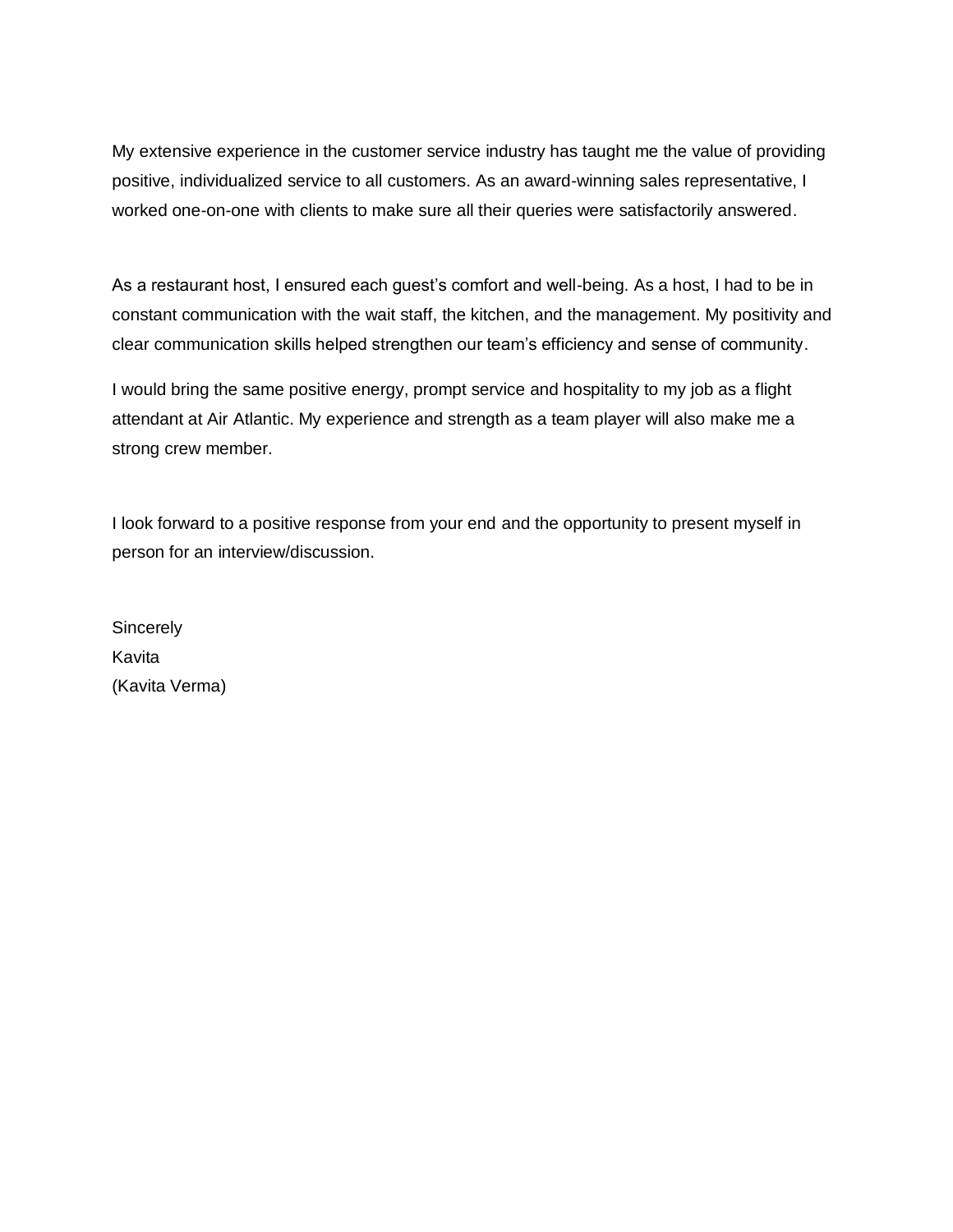My extensive experience in the customer service industry has taught me the value of providing positive, individualized service to all customers. As an award-winning sales representative, I worked one-on-one with clients to make sure all their queries were satisfactorily answered.

As a restaurant host, I ensured each guest's comfort and well-being. As a host, I had to be in constant communication with the wait staff, the kitchen, and the management. My positivity and clear communication skills helped strengthen our team's efficiency and sense of community.

I would bring the same positive energy, prompt service and hospitality to my job as a flight attendant at Air Atlantic. My experience and strength as a team player will also make me a strong crew member.

I look forward to a positive response from your end and the opportunity to present myself in person for an interview/discussion.

**Sincerely** Kavita (Kavita Verma)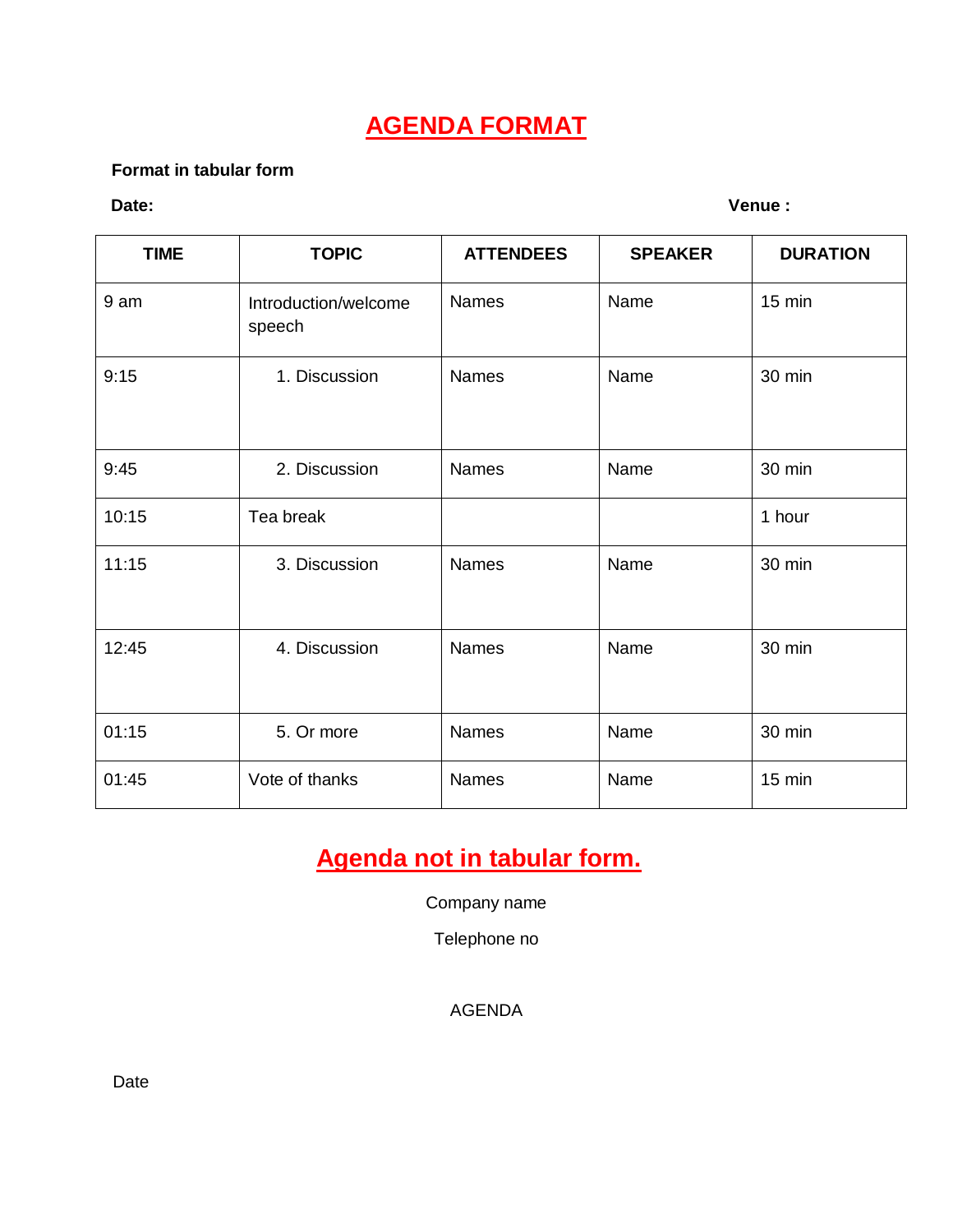### **AGENDA FORMAT**

#### **Format in tabular form**

**Date: Venue :** 

| <b>TIME</b> | <b>TOPIC</b>                   | <b>ATTENDEES</b> | <b>SPEAKER</b> | <b>DURATION</b> |
|-------------|--------------------------------|------------------|----------------|-----------------|
| 9 am        | Introduction/welcome<br>speech | Names            | Name           | $15$ min        |
| 9:15        | 1. Discussion                  | Names            | Name           | 30 min          |
| 9:45        | 2. Discussion                  | <b>Names</b>     | Name           | 30 min          |
| 10:15       | Tea break                      |                  |                | 1 hour          |
| 11:15       | 3. Discussion                  | Names            | Name           | 30 min          |
| 12:45       | 4. Discussion                  | <b>Names</b>     | Name           | 30 min          |
| 01:15       | 5. Or more                     | Names            | Name           | 30 min          |
| 01:45       | Vote of thanks                 | Names            | Name           | $15$ min        |

### **Agenda not in tabular form.**

Company name

Telephone no

AGENDA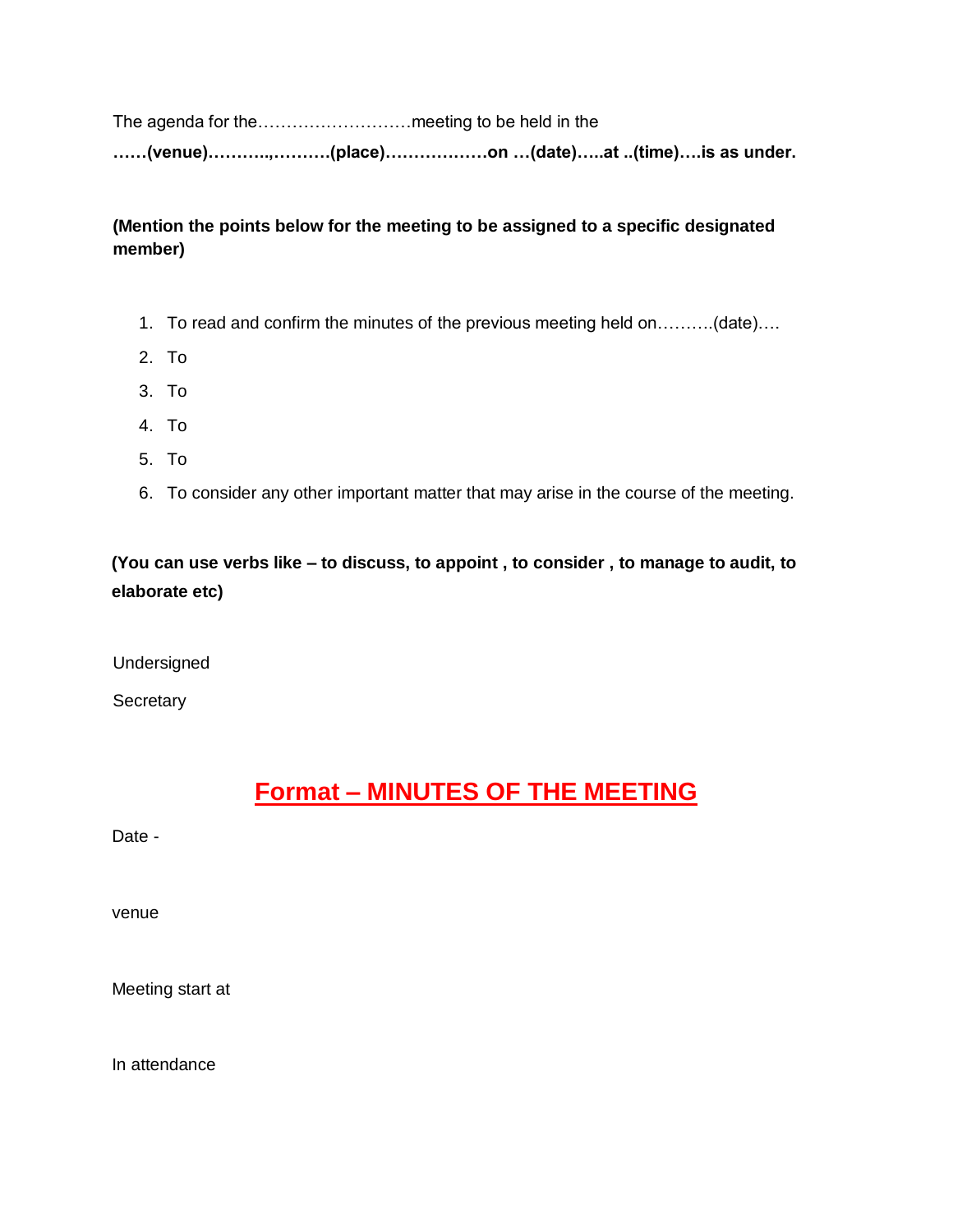The agenda for the………………………meeting to be held in the

**……(venue)………..,……….(place)………………on …(date)…..at ..(time)….is as under.** 

#### **(Mention the points below for the meeting to be assigned to a specific designated member)**

- 1. To read and confirm the minutes of the previous meeting held on……….(date)….
- 2. To
- 3. To
- 4. To
- 5. To
- 6. To consider any other important matter that may arise in the course of the meeting.

**(You can use verbs like – to discuss, to appoint , to consider , to manage to audit, to elaborate etc)** 

Undersigned

**Secretary** 

### **Format – MINUTES OF THE MEETING**

Date -

venue

Meeting start at

In attendance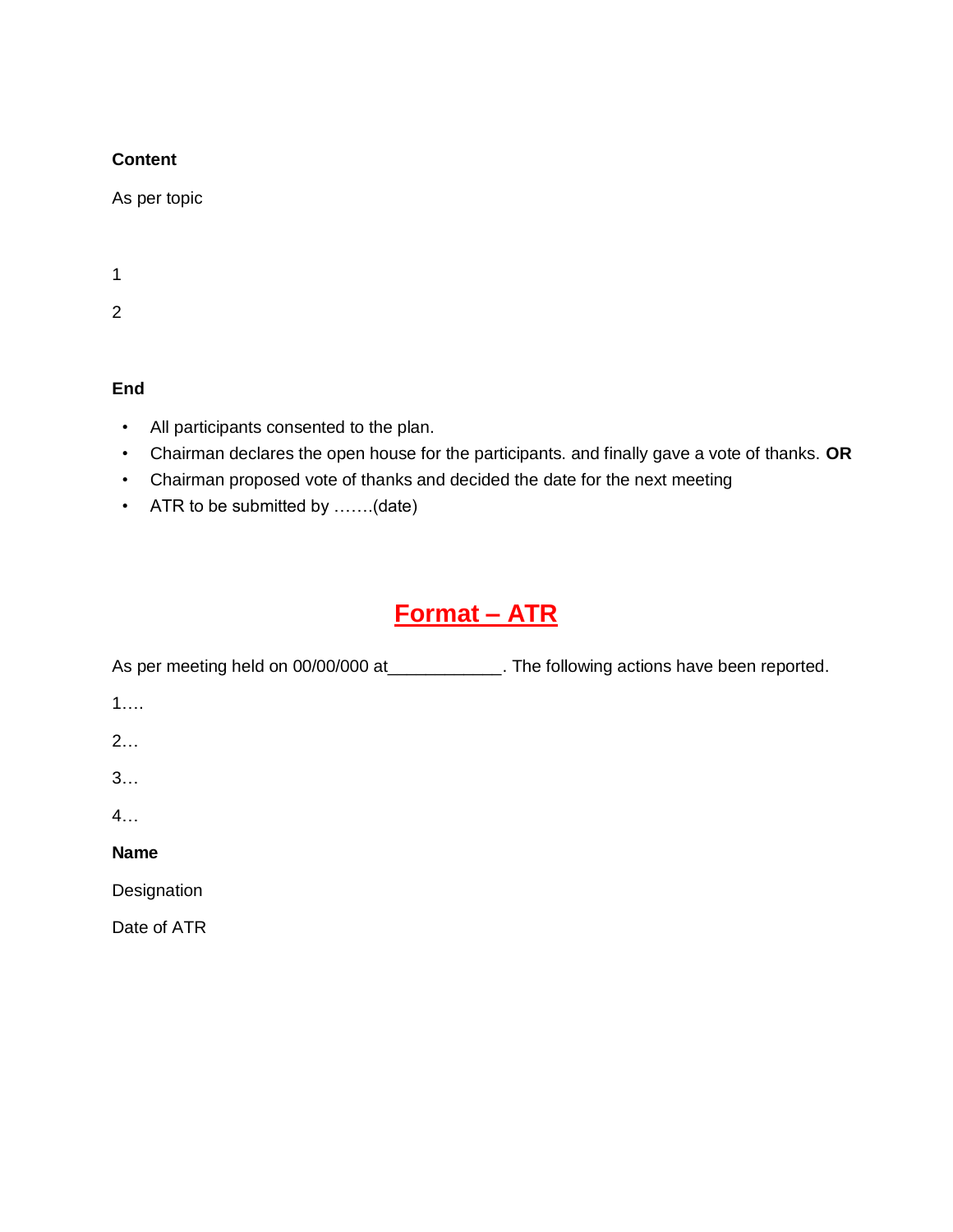#### **Content**

As per topic

1

2

#### **End**

- All participants consented to the plan.
- Chairman declares the open house for the participants. and finally gave a vote of thanks. **OR**
- Chairman proposed vote of thanks and decided the date for the next meeting
- ATR to be submitted by .......(date)

### **Format – ATR**

| As per meeting held on 00/00/000 at _____________ | The following actions have been reported. |
|---------------------------------------------------|-------------------------------------------|
| 1                                                 |                                           |
| 2                                                 |                                           |
| 3                                                 |                                           |
| 4.                                                |                                           |
| <b>Name</b>                                       |                                           |
| Designation                                       |                                           |
| Date of ATR                                       |                                           |
|                                                   |                                           |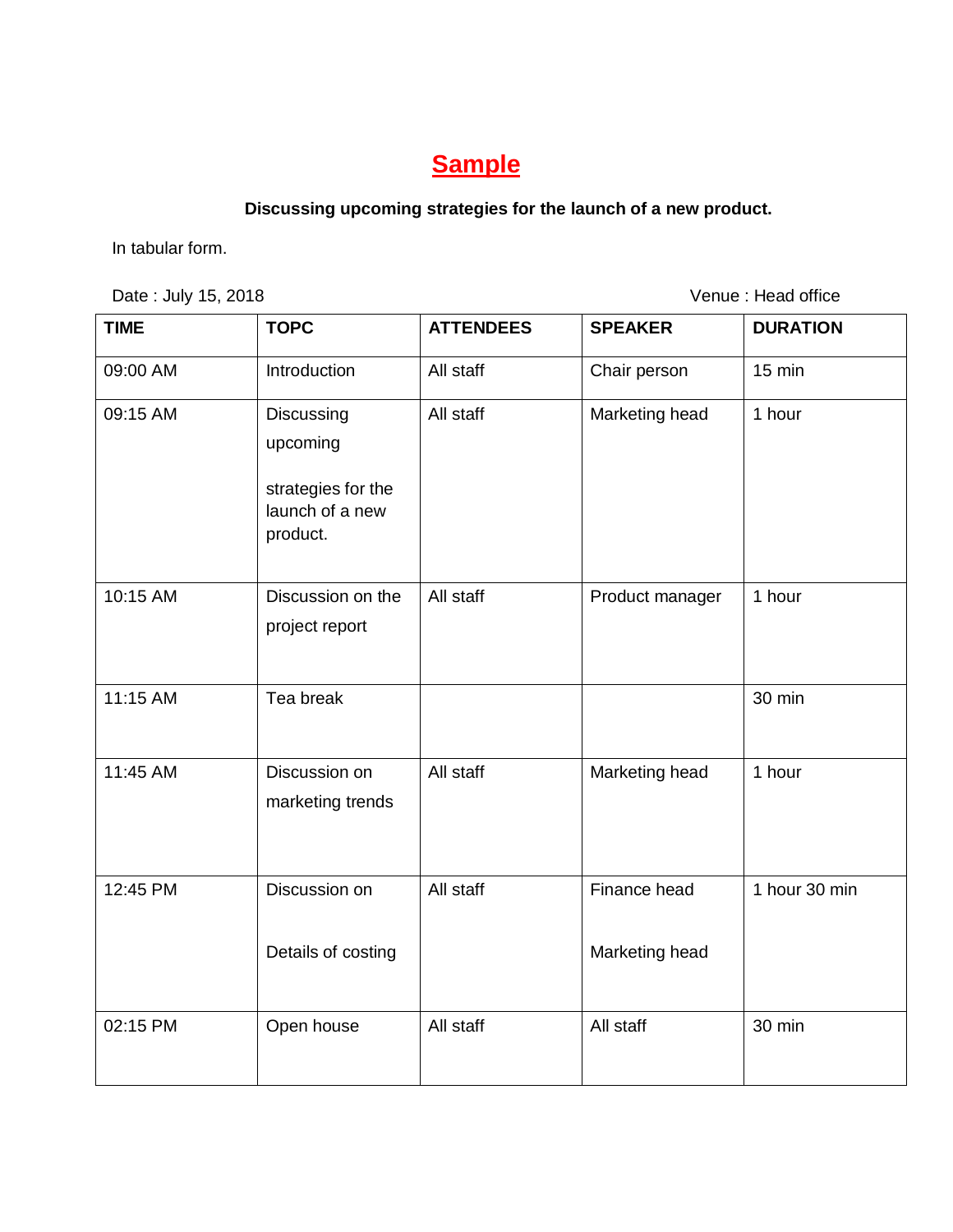### **Sample**

### **Discussing upcoming strategies for the launch of a new product.**

In tabular form.

Date : July 15, 2018 **Date : July 15, 2018** 

| <b>TIME</b> | <b>TOPC</b>                                                                 | <b>ATTENDEES</b> | <b>SPEAKER</b>                 | <b>DURATION</b> |
|-------------|-----------------------------------------------------------------------------|------------------|--------------------------------|-----------------|
| 09:00 AM    | Introduction                                                                | All staff        | Chair person                   | 15 min          |
| 09:15 AM    | Discussing<br>upcoming<br>strategies for the<br>launch of a new<br>product. | All staff        | Marketing head                 | 1 hour          |
| 10:15 AM    | Discussion on the<br>project report                                         | All staff        | Product manager                | 1 hour          |
| 11:15 AM    | Tea break                                                                   |                  |                                | 30 min          |
| 11:45 AM    | Discussion on<br>marketing trends                                           | All staff        | Marketing head                 | 1 hour          |
| 12:45 PM    | Discussion on<br>Details of costing                                         | All staff        | Finance head<br>Marketing head | 1 hour 30 min   |
| 02:15 PM    | Open house                                                                  | All staff        | All staff                      | 30 min          |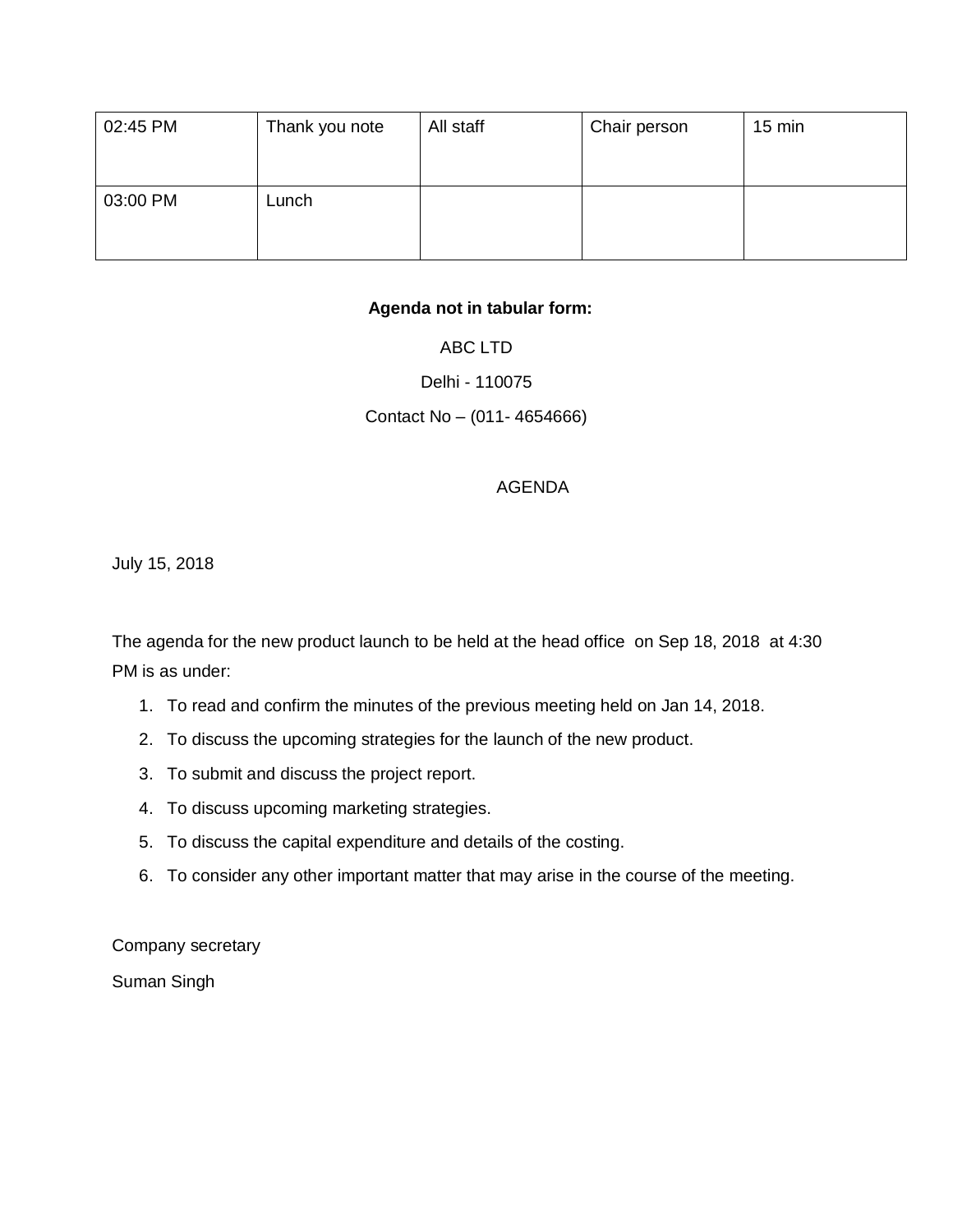| 02:45 PM | Thank you note | All staff | Chair person | $15 \text{ min}$ |
|----------|----------------|-----------|--------------|------------------|
|          |                |           |              |                  |
| 03:00 PM | Lunch          |           |              |                  |
|          |                |           |              |                  |

#### **Agenda not in tabular form:**

#### ABC LTD

#### Delhi - 110075

#### Contact No – (011- 4654666)

#### AGENDA

July 15, 2018

The agenda for the new product launch to be held at the head office on Sep 18, 2018 at 4:30 PM is as under:

- 1. To read and confirm the minutes of the previous meeting held on Jan 14, 2018.
- 2. To discuss the upcoming strategies for the launch of the new product.
- 3. To submit and discuss the project report.
- 4. To discuss upcoming marketing strategies.
- 5. To discuss the capital expenditure and details of the costing.
- 6. To consider any other important matter that may arise in the course of the meeting.

Company secretary

Suman Singh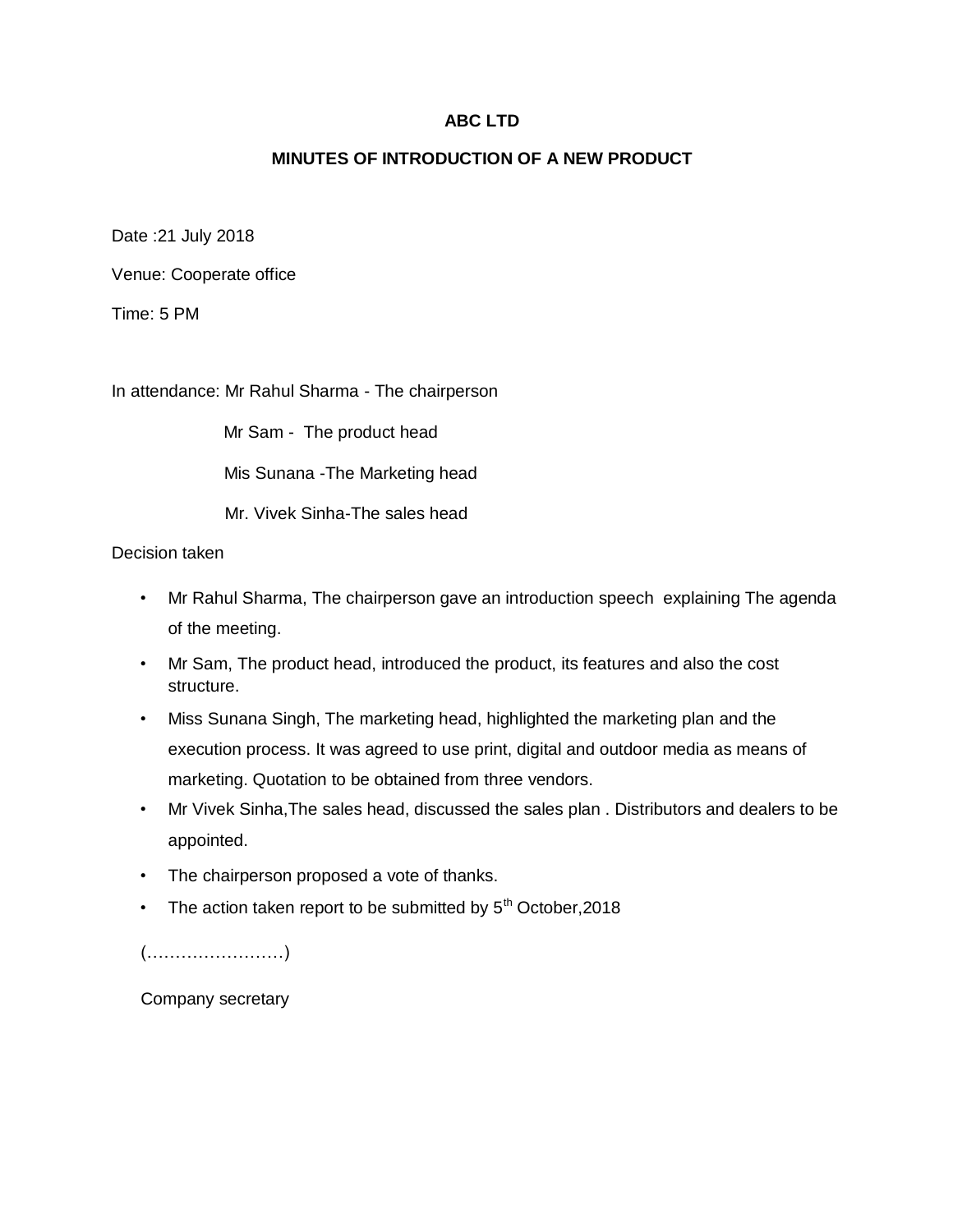#### **ABC LTD**

#### **MINUTES OF INTRODUCTION OF A NEW PRODUCT**

Date :21 July 2018

Venue: Cooperate office

Time: 5 PM

In attendance: Mr Rahul Sharma - The chairperson

Mr Sam - The product head

Mis Sunana -The Marketing head

Mr. Vivek Sinha-The sales head

Decision taken

- Mr Rahul Sharma, The chairperson gave an introduction speech explaining The agenda of the meeting.
- Mr Sam, The product head, introduced the product, its features and also the cost structure.
- Miss Sunana Singh, The marketing head, highlighted the marketing plan and the execution process. It was agreed to use print, digital and outdoor media as means of marketing. Quotation to be obtained from three vendors.
- Mr Vivek Sinha,The sales head, discussed the sales plan . Distributors and dealers to be appointed.
- The chairperson proposed a vote of thanks.
- The action taken report to be submitted by  $5<sup>th</sup>$  October, 2018

(……………………)

Company secretary